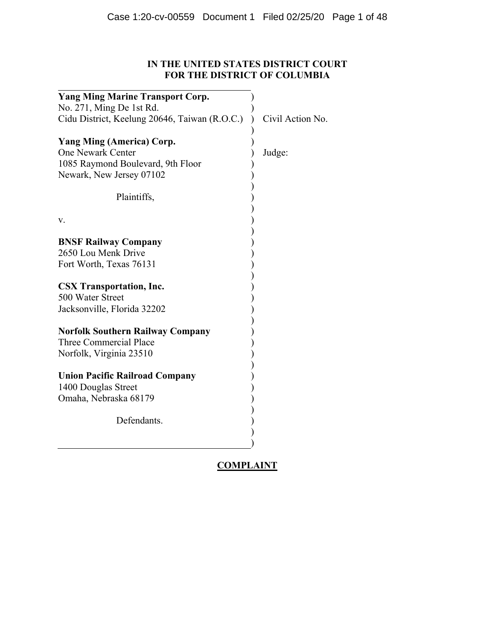# **IN THE UNITED STATES DISTRICT COURT FOR THE DISTRICT OF COLUMBIA**

| <b>Yang Ming Marine Transport Corp.</b>       |                  |
|-----------------------------------------------|------------------|
| No. 271, Ming De 1st Rd.                      |                  |
| Cidu District, Keelung 20646, Taiwan (R.O.C.) | Civil Action No. |
| <b>Yang Ming (America) Corp.</b>              |                  |
| <b>One Newark Center</b>                      | Judge:           |
| 1085 Raymond Boulevard, 9th Floor             |                  |
| Newark, New Jersey 07102                      |                  |
|                                               |                  |
| Plaintiffs,                                   |                  |
|                                               |                  |
| v.                                            |                  |
|                                               |                  |
| <b>BNSF Railway Company</b>                   |                  |
| 2650 Lou Menk Drive                           |                  |
| Fort Worth, Texas 76131                       |                  |
|                                               |                  |
| <b>CSX Transportation, Inc.</b>               |                  |
| 500 Water Street                              |                  |
| Jacksonville, Florida 32202                   |                  |
|                                               |                  |
| <b>Norfolk Southern Railway Company</b>       |                  |
| Three Commercial Place                        |                  |
| Norfolk, Virginia 23510                       |                  |
|                                               |                  |
| <b>Union Pacific Railroad Company</b>         |                  |
| 1400 Douglas Street                           |                  |
| Omaha, Nebraska 68179                         |                  |
|                                               |                  |
| Defendants.                                   |                  |
|                                               |                  |
|                                               |                  |

# **COMPLAINT**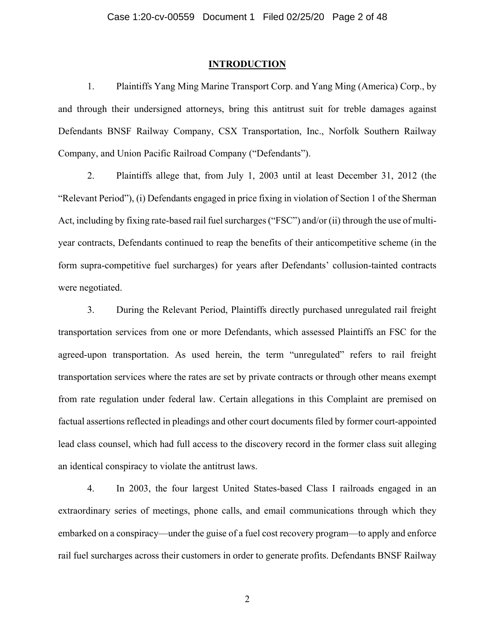## **INTRODUCTION**

1. Plaintiffs Yang Ming Marine Transport Corp. and Yang Ming (America) Corp., by and through their undersigned attorneys, bring this antitrust suit for treble damages against Defendants BNSF Railway Company, CSX Transportation, Inc., Norfolk Southern Railway Company, and Union Pacific Railroad Company ("Defendants").

2. Plaintiffs allege that, from July 1, 2003 until at least December 31, 2012 (the "Relevant Period"), (i) Defendants engaged in price fixing in violation of Section 1 of the Sherman Act, including by fixing rate-based rail fuel surcharges ("FSC") and/or (ii) through the use of multiyear contracts, Defendants continued to reap the benefits of their anticompetitive scheme (in the form supra-competitive fuel surcharges) for years after Defendants' collusion-tainted contracts were negotiated.

3. During the Relevant Period, Plaintiffs directly purchased unregulated rail freight transportation services from one or more Defendants, which assessed Plaintiffs an FSC for the agreed-upon transportation. As used herein, the term "unregulated" refers to rail freight transportation services where the rates are set by private contracts or through other means exempt from rate regulation under federal law. Certain allegations in this Complaint are premised on factual assertions reflected in pleadings and other court documents filed by former court-appointed lead class counsel, which had full access to the discovery record in the former class suit alleging an identical conspiracy to violate the antitrust laws.

4. In 2003, the four largest United States-based Class I railroads engaged in an extraordinary series of meetings, phone calls, and email communications through which they embarked on a conspiracy—under the guise of a fuel cost recovery program—to apply and enforce rail fuel surcharges across their customers in order to generate profits. Defendants BNSF Railway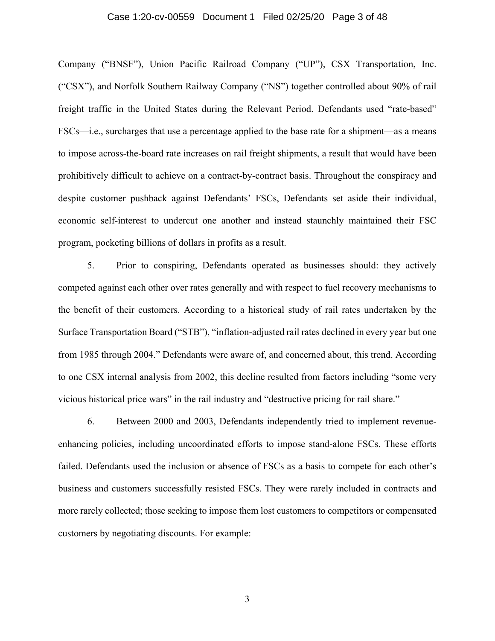## Case 1:20-cv-00559 Document 1 Filed 02/25/20 Page 3 of 48

Company ("BNSF"), Union Pacific Railroad Company ("UP"), CSX Transportation, Inc. ("CSX"), and Norfolk Southern Railway Company ("NS") together controlled about 90% of rail freight traffic in the United States during the Relevant Period. Defendants used "rate-based" FSCs—i.e., surcharges that use a percentage applied to the base rate for a shipment—as a means to impose across-the-board rate increases on rail freight shipments, a result that would have been prohibitively difficult to achieve on a contract-by-contract basis. Throughout the conspiracy and despite customer pushback against Defendants' FSCs, Defendants set aside their individual, economic self-interest to undercut one another and instead staunchly maintained their FSC program, pocketing billions of dollars in profits as a result.

5. Prior to conspiring, Defendants operated as businesses should: they actively competed against each other over rates generally and with respect to fuel recovery mechanisms to the benefit of their customers. According to a historical study of rail rates undertaken by the Surface Transportation Board ("STB"), "inflation-adjusted rail rates declined in every year but one from 1985 through 2004." Defendants were aware of, and concerned about, this trend. According to one CSX internal analysis from 2002, this decline resulted from factors including "some very vicious historical price wars" in the rail industry and "destructive pricing for rail share."

6. Between 2000 and 2003, Defendants independently tried to implement revenueenhancing policies, including uncoordinated efforts to impose stand-alone FSCs. These efforts failed. Defendants used the inclusion or absence of FSCs as a basis to compete for each other's business and customers successfully resisted FSCs. They were rarely included in contracts and more rarely collected; those seeking to impose them lost customers to competitors or compensated customers by negotiating discounts. For example: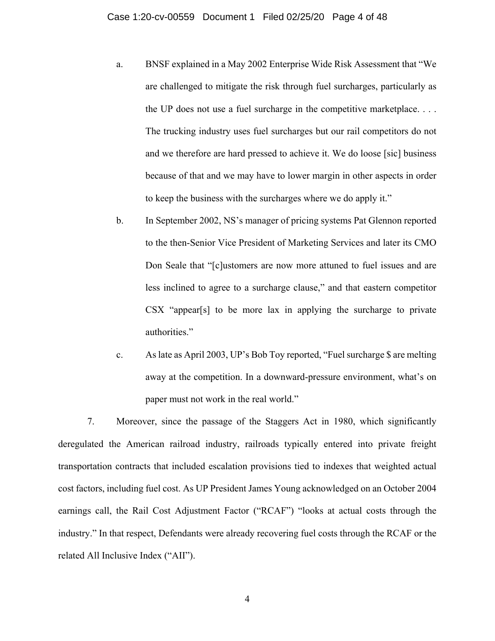- a. BNSF explained in a May 2002 Enterprise Wide Risk Assessment that "We are challenged to mitigate the risk through fuel surcharges, particularly as the UP does not use a fuel surcharge in the competitive marketplace. . . . The trucking industry uses fuel surcharges but our rail competitors do not and we therefore are hard pressed to achieve it. We do loose [sic] business because of that and we may have to lower margin in other aspects in order to keep the business with the surcharges where we do apply it."
- b. In September 2002, NS's manager of pricing systems Pat Glennon reported to the then-Senior Vice President of Marketing Services and later its CMO Don Seale that "[c]ustomers are now more attuned to fuel issues and are less inclined to agree to a surcharge clause," and that eastern competitor CSX "appear[s] to be more lax in applying the surcharge to private authorities."
- c. As late as April 2003, UP's Bob Toy reported, "Fuel surcharge \$ are melting away at the competition. In a downward-pressure environment, what's on paper must not work in the real world."

7. Moreover, since the passage of the Staggers Act in 1980, which significantly deregulated the American railroad industry, railroads typically entered into private freight transportation contracts that included escalation provisions tied to indexes that weighted actual cost factors, including fuel cost. As UP President James Young acknowledged on an October 2004 earnings call, the Rail Cost Adjustment Factor ("RCAF") "looks at actual costs through the industry." In that respect, Defendants were already recovering fuel costs through the RCAF or the related All Inclusive Index ("AII").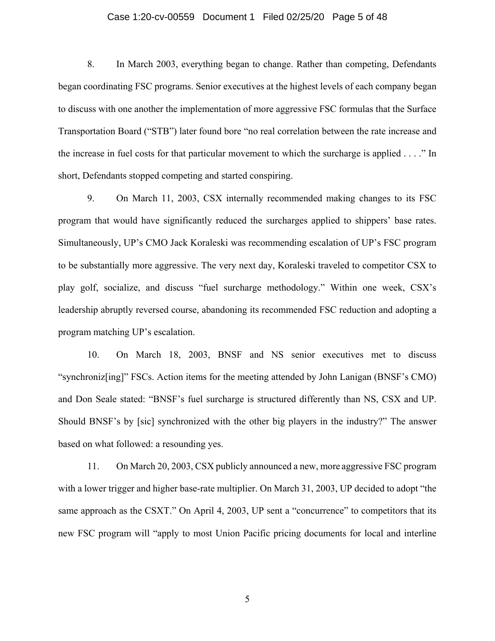## Case 1:20-cv-00559 Document 1 Filed 02/25/20 Page 5 of 48

8. In March 2003, everything began to change. Rather than competing, Defendants began coordinating FSC programs. Senior executives at the highest levels of each company began to discuss with one another the implementation of more aggressive FSC formulas that the Surface Transportation Board ("STB") later found bore "no real correlation between the rate increase and the increase in fuel costs for that particular movement to which the surcharge is applied . . . ." In short, Defendants stopped competing and started conspiring.

9. On March 11, 2003, CSX internally recommended making changes to its FSC program that would have significantly reduced the surcharges applied to shippers' base rates. Simultaneously, UP's CMO Jack Koraleski was recommending escalation of UP's FSC program to be substantially more aggressive. The very next day, Koraleski traveled to competitor CSX to play golf, socialize, and discuss "fuel surcharge methodology." Within one week, CSX's leadership abruptly reversed course, abandoning its recommended FSC reduction and adopting a program matching UP's escalation.

10. On March 18, 2003, BNSF and NS senior executives met to discuss "synchroniz[ing]" FSCs. Action items for the meeting attended by John Lanigan (BNSF's CMO) and Don Seale stated: "BNSF's fuel surcharge is structured differently than NS, CSX and UP. Should BNSF's by [sic] synchronized with the other big players in the industry?" The answer based on what followed: a resounding yes.

11. On March 20, 2003, CSX publicly announced a new, more aggressive FSC program with a lower trigger and higher base-rate multiplier. On March 31, 2003, UP decided to adopt "the same approach as the CSXT." On April 4, 2003, UP sent a "concurrence" to competitors that its new FSC program will "apply to most Union Pacific pricing documents for local and interline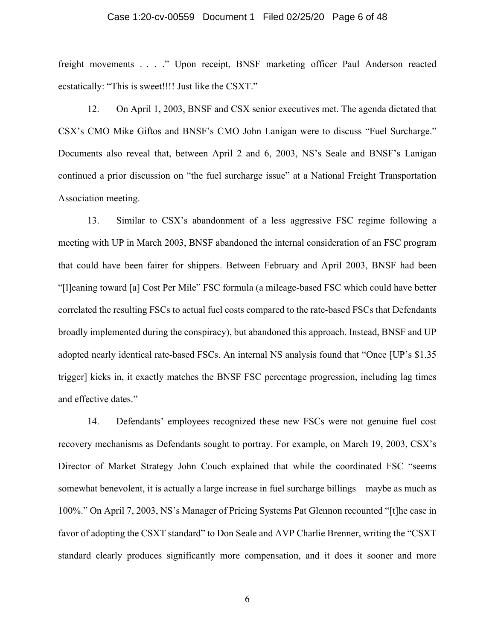## Case 1:20-cv-00559 Document 1 Filed 02/25/20 Page 6 of 48

freight movements . . . ." Upon receipt, BNSF marketing officer Paul Anderson reacted ecstatically: "This is sweet!!!! Just like the CSXT."

12. On April 1, 2003, BNSF and CSX senior executives met. The agenda dictated that CSX's CMO Mike Giftos and BNSF's CMO John Lanigan were to discuss "Fuel Surcharge." Documents also reveal that, between April 2 and 6, 2003, NS's Seale and BNSF's Lanigan continued a prior discussion on "the fuel surcharge issue" at a National Freight Transportation Association meeting.

13. Similar to CSX's abandonment of a less aggressive FSC regime following a meeting with UP in March 2003, BNSF abandoned the internal consideration of an FSC program that could have been fairer for shippers. Between February and April 2003, BNSF had been "[l]eaning toward [a] Cost Per Mile" FSC formula (a mileage-based FSC which could have better correlated the resulting FSCs to actual fuel costs compared to the rate-based FSCs that Defendants broadly implemented during the conspiracy), but abandoned this approach. Instead, BNSF and UP adopted nearly identical rate-based FSCs. An internal NS analysis found that "Once [UP's \$1.35 trigger] kicks in, it exactly matches the BNSF FSC percentage progression, including lag times and effective dates."

14. Defendants' employees recognized these new FSCs were not genuine fuel cost recovery mechanisms as Defendants sought to portray. For example, on March 19, 2003, CSX's Director of Market Strategy John Couch explained that while the coordinated FSC "seems somewhat benevolent, it is actually a large increase in fuel surcharge billings – maybe as much as 100%." On April 7, 2003, NS's Manager of Pricing Systems Pat Glennon recounted "[t]he case in favor of adopting the CSXT standard" to Don Seale and AVP Charlie Brenner, writing the "CSXT standard clearly produces significantly more compensation, and it does it sooner and more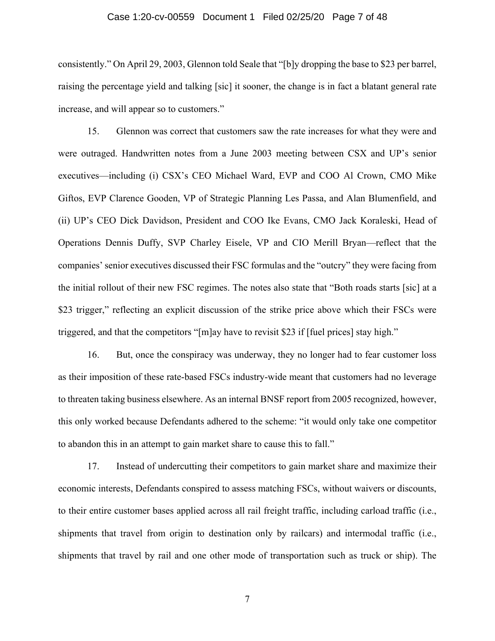## Case 1:20-cv-00559 Document 1 Filed 02/25/20 Page 7 of 48

consistently." On April 29, 2003, Glennon told Seale that "[b]y dropping the base to \$23 per barrel, raising the percentage yield and talking [sic] it sooner, the change is in fact a blatant general rate increase, and will appear so to customers."

15. Glennon was correct that customers saw the rate increases for what they were and were outraged. Handwritten notes from a June 2003 meeting between CSX and UP's senior executives—including (i) CSX's CEO Michael Ward, EVP and COO Al Crown, CMO Mike Giftos, EVP Clarence Gooden, VP of Strategic Planning Les Passa, and Alan Blumenfield, and (ii) UP's CEO Dick Davidson, President and COO Ike Evans, CMO Jack Koraleski, Head of Operations Dennis Duffy, SVP Charley Eisele, VP and CIO Merill Bryan—reflect that the companies' senior executives discussed their FSC formulas and the "outcry" they were facing from the initial rollout of their new FSC regimes. The notes also state that "Both roads starts [sic] at a \$23 trigger," reflecting an explicit discussion of the strike price above which their FSCs were triggered, and that the competitors "[m]ay have to revisit \$23 if [fuel prices] stay high."

16. But, once the conspiracy was underway, they no longer had to fear customer loss as their imposition of these rate-based FSCs industry-wide meant that customers had no leverage to threaten taking business elsewhere. As an internal BNSF report from 2005 recognized, however, this only worked because Defendants adhered to the scheme: "it would only take one competitor to abandon this in an attempt to gain market share to cause this to fall."

17. Instead of undercutting their competitors to gain market share and maximize their economic interests, Defendants conspired to assess matching FSCs, without waivers or discounts, to their entire customer bases applied across all rail freight traffic, including carload traffic (i.e., shipments that travel from origin to destination only by railcars) and intermodal traffic (i.e., shipments that travel by rail and one other mode of transportation such as truck or ship). The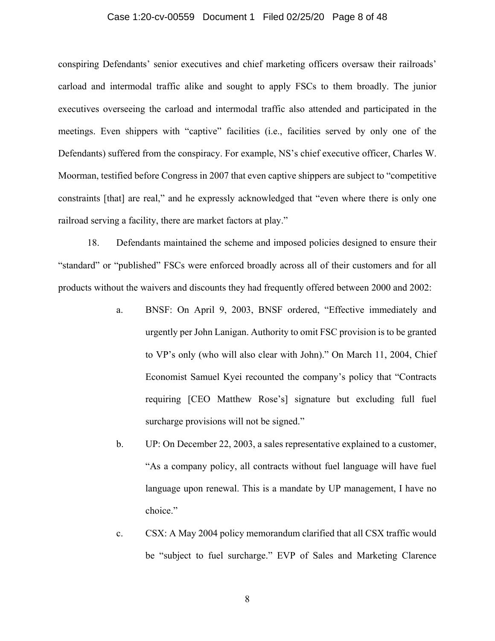## Case 1:20-cv-00559 Document 1 Filed 02/25/20 Page 8 of 48

conspiring Defendants' senior executives and chief marketing officers oversaw their railroads' carload and intermodal traffic alike and sought to apply FSCs to them broadly. The junior executives overseeing the carload and intermodal traffic also attended and participated in the meetings. Even shippers with "captive" facilities (i.e., facilities served by only one of the Defendants) suffered from the conspiracy. For example, NS's chief executive officer, Charles W. Moorman, testified before Congress in 2007 that even captive shippers are subject to "competitive constraints [that] are real," and he expressly acknowledged that "even where there is only one railroad serving a facility, there are market factors at play."

18. Defendants maintained the scheme and imposed policies designed to ensure their "standard" or "published" FSCs were enforced broadly across all of their customers and for all products without the waivers and discounts they had frequently offered between 2000 and 2002:

- a. BNSF: On April 9, 2003, BNSF ordered, "Effective immediately and urgently per John Lanigan. Authority to omit FSC provision is to be granted to VP's only (who will also clear with John)." On March 11, 2004, Chief Economist Samuel Kyei recounted the company's policy that "Contracts requiring [CEO Matthew Rose's] signature but excluding full fuel surcharge provisions will not be signed."
- b. UP: On December 22, 2003, a sales representative explained to a customer, "As a company policy, all contracts without fuel language will have fuel language upon renewal. This is a mandate by UP management, I have no choice."
- c. CSX: A May 2004 policy memorandum clarified that all CSX traffic would be "subject to fuel surcharge." EVP of Sales and Marketing Clarence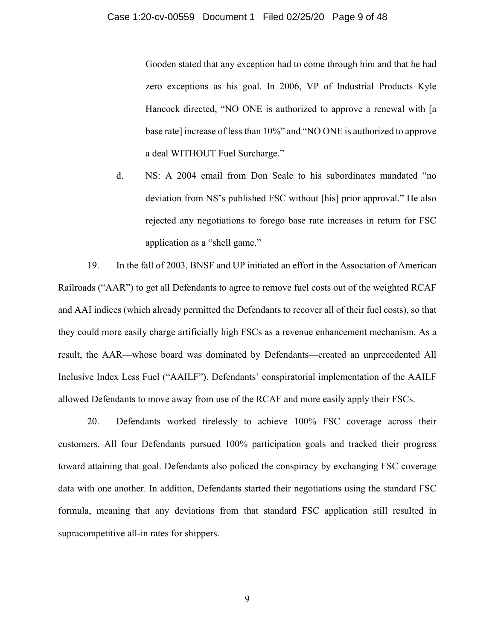Gooden stated that any exception had to come through him and that he had zero exceptions as his goal. In 2006, VP of Industrial Products Kyle Hancock directed, "NO ONE is authorized to approve a renewal with [a base rate] increase of less than 10%" and "NO ONE is authorized to approve a deal WITHOUT Fuel Surcharge."

d. NS: A 2004 email from Don Seale to his subordinates mandated "no deviation from NS's published FSC without [his] prior approval." He also rejected any negotiations to forego base rate increases in return for FSC application as a "shell game."

19. In the fall of 2003, BNSF and UP initiated an effort in the Association of American Railroads ("AAR") to get all Defendants to agree to remove fuel costs out of the weighted RCAF and AAI indices (which already permitted the Defendants to recover all of their fuel costs), so that they could more easily charge artificially high FSCs as a revenue enhancement mechanism. As a result, the AAR—whose board was dominated by Defendants—created an unprecedented All Inclusive Index Less Fuel ("AAILF"). Defendants' conspiratorial implementation of the AAILF allowed Defendants to move away from use of the RCAF and more easily apply their FSCs.

20. Defendants worked tirelessly to achieve 100% FSC coverage across their customers. All four Defendants pursued 100% participation goals and tracked their progress toward attaining that goal. Defendants also policed the conspiracy by exchanging FSC coverage data with one another. In addition, Defendants started their negotiations using the standard FSC formula, meaning that any deviations from that standard FSC application still resulted in supracompetitive all-in rates for shippers.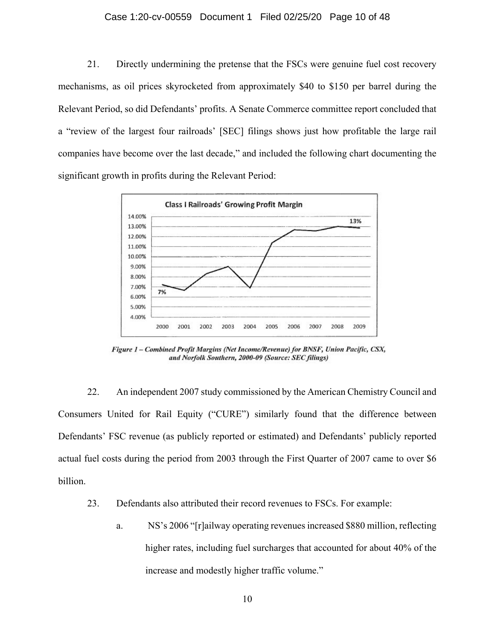## Case 1:20-cv-00559 Document 1 Filed 02/25/20 Page 10 of 48

21. Directly undermining the pretense that the FSCs were genuine fuel cost recovery mechanisms, as oil prices skyrocketed from approximately \$40 to \$150 per barrel during the Relevant Period, so did Defendants' profits. A Senate Commerce committee report concluded that a "review of the largest four railroads' [SEC] filings shows just how profitable the large rail companies have become over the last decade," and included the following chart documenting the significant growth in profits during the Relevant Period:



Figure 1 - Combined Profit Margins (Net Income/Revenue) for BNSF, Union Pacific, CSX, and Norfolk Southern, 2000-09 (Source: SEC filings)

22. An independent 2007 study commissioned by the American Chemistry Council and Consumers United for Rail Equity ("CURE") similarly found that the difference between Defendants' FSC revenue (as publicly reported or estimated) and Defendants' publicly reported actual fuel costs during the period from 2003 through the First Quarter of 2007 came to over \$6 billion.

- 23. Defendants also attributed their record revenues to FSCs. For example:
	- a. NS's 2006 "[r]ailway operating revenues increased \$880 million, reflecting higher rates, including fuel surcharges that accounted for about 40% of the increase and modestly higher traffic volume."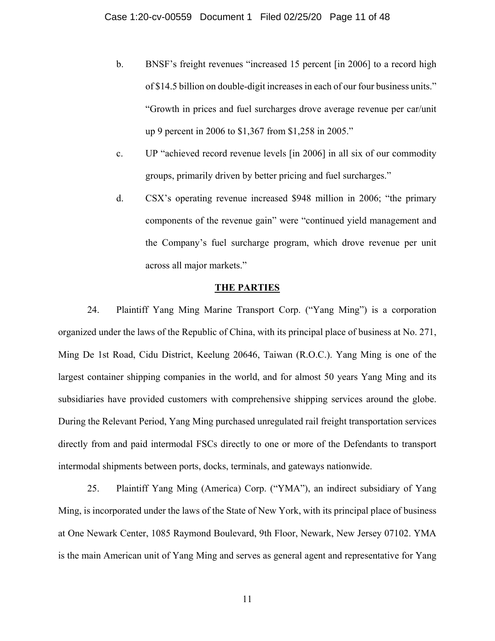- b. BNSF's freight revenues "increased 15 percent [in 2006] to a record high of \$14.5 billion on double-digit increases in each of our four business units." "Growth in prices and fuel surcharges drove average revenue per car/unit up 9 percent in 2006 to \$1,367 from \$1,258 in 2005."
- c. UP "achieved record revenue levels [in 2006] in all six of our commodity groups, primarily driven by better pricing and fuel surcharges."
- d. CSX's operating revenue increased \$948 million in 2006; "the primary components of the revenue gain" were "continued yield management and the Company's fuel surcharge program, which drove revenue per unit across all major markets."

## **THE PARTIES**

24. Plaintiff Yang Ming Marine Transport Corp. ("Yang Ming") is a corporation organized under the laws of the Republic of China, with its principal place of business at No. 271, Ming De 1st Road, Cidu District, Keelung 20646, Taiwan (R.O.C.). Yang Ming is one of the largest container shipping companies in the world, and for almost 50 years Yang Ming and its subsidiaries have provided customers with comprehensive shipping services around the globe. During the Relevant Period, Yang Ming purchased unregulated rail freight transportation services directly from and paid intermodal FSCs directly to one or more of the Defendants to transport intermodal shipments between ports, docks, terminals, and gateways nationwide.

25. Plaintiff Yang Ming (America) Corp. ("YMA"), an indirect subsidiary of Yang Ming, is incorporated under the laws of the State of New York, with its principal place of business at One Newark Center, 1085 Raymond Boulevard, 9th Floor, Newark, New Jersey 07102. YMA is the main American unit of Yang Ming and serves as general agent and representative for Yang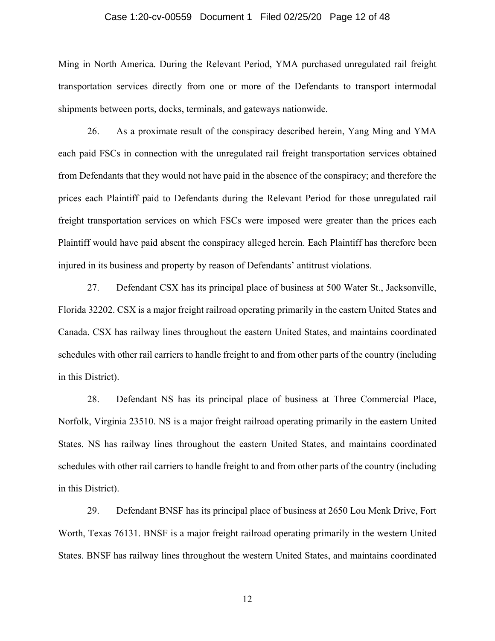## Case 1:20-cv-00559 Document 1 Filed 02/25/20 Page 12 of 48

Ming in North America. During the Relevant Period, YMA purchased unregulated rail freight transportation services directly from one or more of the Defendants to transport intermodal shipments between ports, docks, terminals, and gateways nationwide.

26. As a proximate result of the conspiracy described herein, Yang Ming and YMA each paid FSCs in connection with the unregulated rail freight transportation services obtained from Defendants that they would not have paid in the absence of the conspiracy; and therefore the prices each Plaintiff paid to Defendants during the Relevant Period for those unregulated rail freight transportation services on which FSCs were imposed were greater than the prices each Plaintiff would have paid absent the conspiracy alleged herein. Each Plaintiff has therefore been injured in its business and property by reason of Defendants' antitrust violations.

27. Defendant CSX has its principal place of business at 500 Water St., Jacksonville, Florida 32202. CSX is a major freight railroad operating primarily in the eastern United States and Canada. CSX has railway lines throughout the eastern United States, and maintains coordinated schedules with other rail carriers to handle freight to and from other parts of the country (including in this District).

28. Defendant NS has its principal place of business at Three Commercial Place, Norfolk, Virginia 23510. NS is a major freight railroad operating primarily in the eastern United States. NS has railway lines throughout the eastern United States, and maintains coordinated schedules with other rail carriers to handle freight to and from other parts of the country (including in this District).

29. Defendant BNSF has its principal place of business at 2650 Lou Menk Drive, Fort Worth, Texas 76131. BNSF is a major freight railroad operating primarily in the western United States. BNSF has railway lines throughout the western United States, and maintains coordinated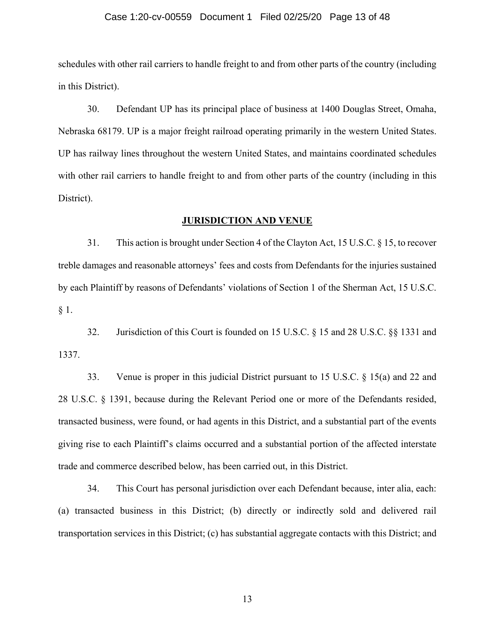#### Case 1:20-cv-00559 Document 1 Filed 02/25/20 Page 13 of 48

schedules with other rail carriers to handle freight to and from other parts of the country (including in this District).

30. Defendant UP has its principal place of business at 1400 Douglas Street, Omaha, Nebraska 68179. UP is a major freight railroad operating primarily in the western United States. UP has railway lines throughout the western United States, and maintains coordinated schedules with other rail carriers to handle freight to and from other parts of the country (including in this District).

## **JURISDICTION AND VENUE**

31. This action is brought under Section 4 of the Clayton Act, 15 U.S.C. § 15, to recover treble damages and reasonable attorneys' fees and costs from Defendants for the injuries sustained by each Plaintiff by reasons of Defendants' violations of Section 1 of the Sherman Act, 15 U.S.C. § 1.

32. Jurisdiction of this Court is founded on 15 U.S.C. § 15 and 28 U.S.C. §§ 1331 and 1337.

33. Venue is proper in this judicial District pursuant to 15 U.S.C. § 15(a) and 22 and 28 U.S.C. § 1391, because during the Relevant Period one or more of the Defendants resided, transacted business, were found, or had agents in this District, and a substantial part of the events giving rise to each Plaintiff's claims occurred and a substantial portion of the affected interstate trade and commerce described below, has been carried out, in this District.

34. This Court has personal jurisdiction over each Defendant because, inter alia, each: (a) transacted business in this District; (b) directly or indirectly sold and delivered rail transportation services in this District; (c) has substantial aggregate contacts with this District; and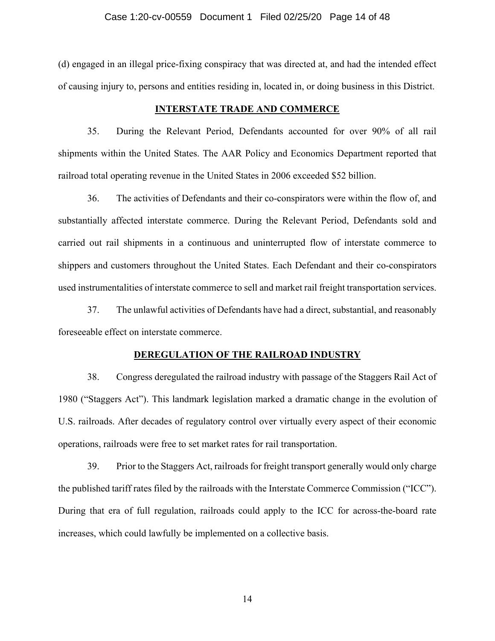#### Case 1:20-cv-00559 Document 1 Filed 02/25/20 Page 14 of 48

(d) engaged in an illegal price-fixing conspiracy that was directed at, and had the intended effect of causing injury to, persons and entities residing in, located in, or doing business in this District.

## **INTERSTATE TRADE AND COMMERCE**

35. During the Relevant Period, Defendants accounted for over 90% of all rail shipments within the United States. The AAR Policy and Economics Department reported that railroad total operating revenue in the United States in 2006 exceeded \$52 billion.

36. The activities of Defendants and their co-conspirators were within the flow of, and substantially affected interstate commerce. During the Relevant Period, Defendants sold and carried out rail shipments in a continuous and uninterrupted flow of interstate commerce to shippers and customers throughout the United States. Each Defendant and their co-conspirators used instrumentalities of interstate commerce to sell and market rail freight transportation services.

37. The unlawful activities of Defendants have had a direct, substantial, and reasonably foreseeable effect on interstate commerce.

#### **DEREGULATION OF THE RAILROAD INDUSTRY**

38. Congress deregulated the railroad industry with passage of the Staggers Rail Act of 1980 ("Staggers Act"). This landmark legislation marked a dramatic change in the evolution of U.S. railroads. After decades of regulatory control over virtually every aspect of their economic operations, railroads were free to set market rates for rail transportation.

39. Prior to the Staggers Act, railroads for freight transport generally would only charge the published tariff rates filed by the railroads with the Interstate Commerce Commission ("ICC"). During that era of full regulation, railroads could apply to the ICC for across-the-board rate increases, which could lawfully be implemented on a collective basis.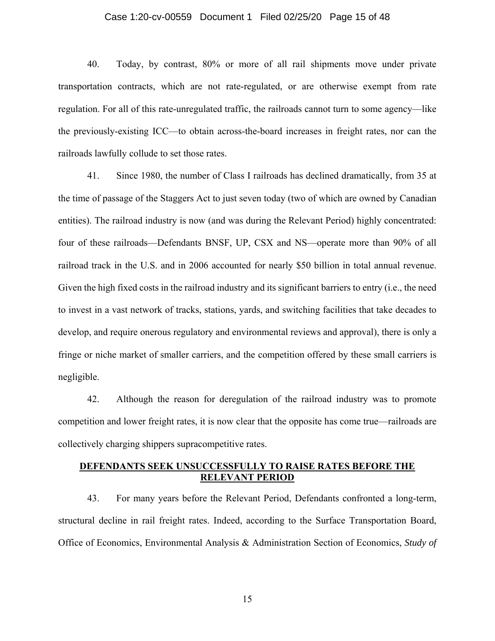## Case 1:20-cv-00559 Document 1 Filed 02/25/20 Page 15 of 48

40. Today, by contrast, 80% or more of all rail shipments move under private transportation contracts, which are not rate-regulated, or are otherwise exempt from rate regulation. For all of this rate-unregulated traffic, the railroads cannot turn to some agency—like the previously-existing ICC—to obtain across-the-board increases in freight rates, nor can the railroads lawfully collude to set those rates.

41. Since 1980, the number of Class I railroads has declined dramatically, from 35 at the time of passage of the Staggers Act to just seven today (two of which are owned by Canadian entities). The railroad industry is now (and was during the Relevant Period) highly concentrated: four of these railroads—Defendants BNSF, UP, CSX and NS—operate more than 90% of all railroad track in the U.S. and in 2006 accounted for nearly \$50 billion in total annual revenue. Given the high fixed costs in the railroad industry and its significant barriers to entry (i.e., the need to invest in a vast network of tracks, stations, yards, and switching facilities that take decades to develop, and require onerous regulatory and environmental reviews and approval), there is only a fringe or niche market of smaller carriers, and the competition offered by these small carriers is negligible.

42. Although the reason for deregulation of the railroad industry was to promote competition and lower freight rates, it is now clear that the opposite has come true—railroads are collectively charging shippers supracompetitive rates.

## **DEFENDANTS SEEK UNSUCCESSFULLY TO RAISE RATES BEFORE THE RELEVANT PERIOD**

43. For many years before the Relevant Period, Defendants confronted a long-term, structural decline in rail freight rates. Indeed, according to the Surface Transportation Board, Office of Economics, Environmental Analysis & Administration Section of Economics, *Study of*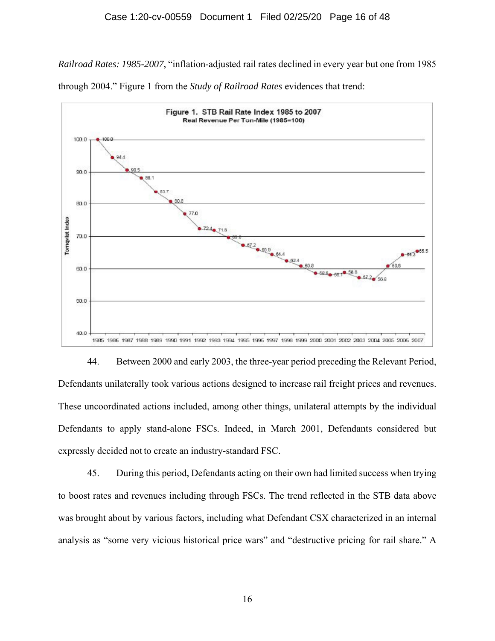*Railroad Rates: 1985-2007*, "inflation-adjusted rail rates declined in every year but one from 1985 through 2004." Figure 1 from the *Study of Railroad Rates* evidences that trend:



44. Between 2000 and early 2003, the three-year period preceding the Relevant Period, Defendants unilaterally took various actions designed to increase rail freight prices and revenues. These uncoordinated actions included, among other things, unilateral attempts by the individual Defendants to apply stand-alone FSCs. Indeed, in March 2001, Defendants considered but expressly decided not to create an industry-standard FSC.

45. During this period, Defendants acting on their own had limited success when trying to boost rates and revenues including through FSCs. The trend reflected in the STB data above was brought about by various factors, including what Defendant CSX characterized in an internal analysis as "some very vicious historical price wars" and "destructive pricing for rail share." A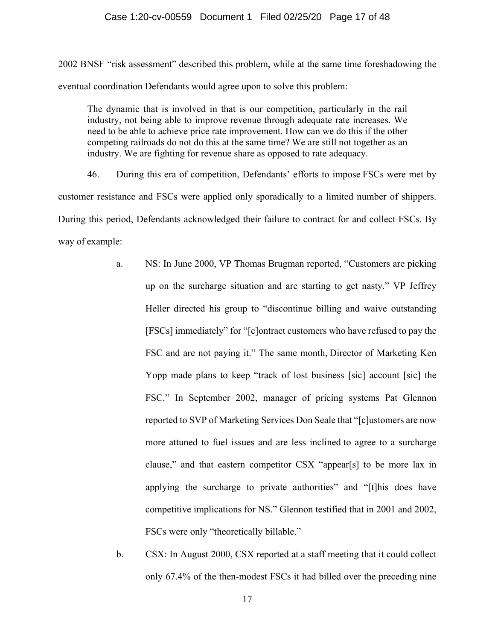## Case 1:20-cv-00559 Document 1 Filed 02/25/20 Page 17 of 48

2002 BNSF "risk assessment" described this problem, while at the same time foreshadowing the eventual coordination Defendants would agree upon to solve this problem:

The dynamic that is involved in that is our competition, particularly in the rail industry, not being able to improve revenue through adequate rate increases. We need to be able to achieve price rate improvement. How can we do this if the other competing railroads do not do this at the same time? We are still not together as an industry. We are fighting for revenue share as opposed to rate adequacy.

46. During this era of competition, Defendants' efforts to impose FSCs were met by customer resistance and FSCs were applied only sporadically to a limited number of shippers. During this period, Defendants acknowledged their failure to contract for and collect FSCs. By way of example:

- a. NS: In June 2000, VP Thomas Brugman reported, "Customers are picking up on the surcharge situation and are starting to get nasty." VP Jeffrey Heller directed his group to "discontinue billing and waive outstanding [FSCs] immediately" for "[c]ontract customers who have refused to pay the FSC and are not paying it." The same month, Director of Marketing Ken Yopp made plans to keep "track of lost business [sic] account [sic] the FSC." In September 2002, manager of pricing systems Pat Glennon reported to SVP of Marketing Services Don Seale that "[c]ustomers are now more attuned to fuel issues and are less inclined to agree to a surcharge clause," and that eastern competitor CSX "appear[s] to be more lax in applying the surcharge to private authorities" and "[t]his does have competitive implications for NS." Glennon testified that in 2001 and 2002, FSCs were only "theoretically billable."
- b. CSX: In August 2000, CSX reported at a staff meeting that it could collect only 67.4% of the then-modest FSCs it had billed over the preceding nine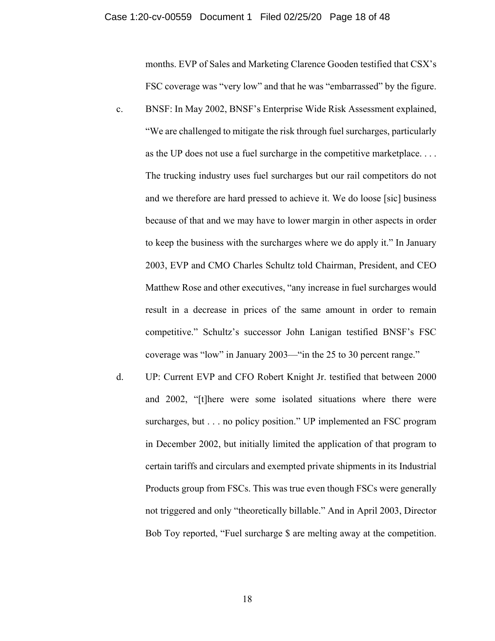months. EVP of Sales and Marketing Clarence Gooden testified that CSX's FSC coverage was "very low" and that he was "embarrassed" by the figure.

- c. BNSF: In May 2002, BNSF's Enterprise Wide Risk Assessment explained, "We are challenged to mitigate the risk through fuel surcharges, particularly as the UP does not use a fuel surcharge in the competitive marketplace. . . . The trucking industry uses fuel surcharges but our rail competitors do not and we therefore are hard pressed to achieve it. We do loose [sic] business because of that and we may have to lower margin in other aspects in order to keep the business with the surcharges where we do apply it." In January 2003, EVP and CMO Charles Schultz told Chairman, President, and CEO Matthew Rose and other executives, "any increase in fuel surcharges would result in a decrease in prices of the same amount in order to remain competitive." Schultz's successor John Lanigan testified BNSF's FSC coverage was "low" in January 2003—"in the 25 to 30 percent range."
- d. UP: Current EVP and CFO Robert Knight Jr. testified that between 2000 and 2002, "[t]here were some isolated situations where there were surcharges, but . . . no policy position." UP implemented an FSC program in December 2002, but initially limited the application of that program to certain tariffs and circulars and exempted private shipments in its Industrial Products group from FSCs. This was true even though FSCs were generally not triggered and only "theoretically billable." And in April 2003, Director Bob Toy reported, "Fuel surcharge \$ are melting away at the competition.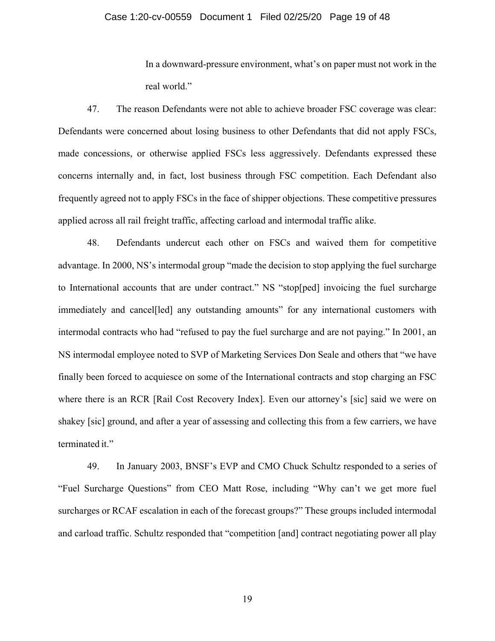## Case 1:20-cv-00559 Document 1 Filed 02/25/20 Page 19 of 48

In a downward-pressure environment, what's on paper must not work in the real world."

47. The reason Defendants were not able to achieve broader FSC coverage was clear: Defendants were concerned about losing business to other Defendants that did not apply FSCs, made concessions, or otherwise applied FSCs less aggressively. Defendants expressed these concerns internally and, in fact, lost business through FSC competition. Each Defendant also frequently agreed not to apply FSCs in the face of shipper objections. These competitive pressures applied across all rail freight traffic, affecting carload and intermodal traffic alike.

48. Defendants undercut each other on FSCs and waived them for competitive advantage. In 2000, NS's intermodal group "made the decision to stop applying the fuel surcharge to International accounts that are under contract." NS "stop[ped] invoicing the fuel surcharge immediately and cancel[led] any outstanding amounts" for any international customers with intermodal contracts who had "refused to pay the fuel surcharge and are not paying." In 2001, an NS intermodal employee noted to SVP of Marketing Services Don Seale and others that "we have finally been forced to acquiesce on some of the International contracts and stop charging an FSC where there is an RCR [Rail Cost Recovery Index]. Even our attorney's [sic] said we were on shakey [sic] ground, and after a year of assessing and collecting this from a few carriers, we have terminated it."

49. In January 2003, BNSF's EVP and CMO Chuck Schultz responded to a series of "Fuel Surcharge Questions" from CEO Matt Rose, including "Why can't we get more fuel surcharges or RCAF escalation in each of the forecast groups?" These groups included intermodal and carload traffic. Schultz responded that "competition [and] contract negotiating power all play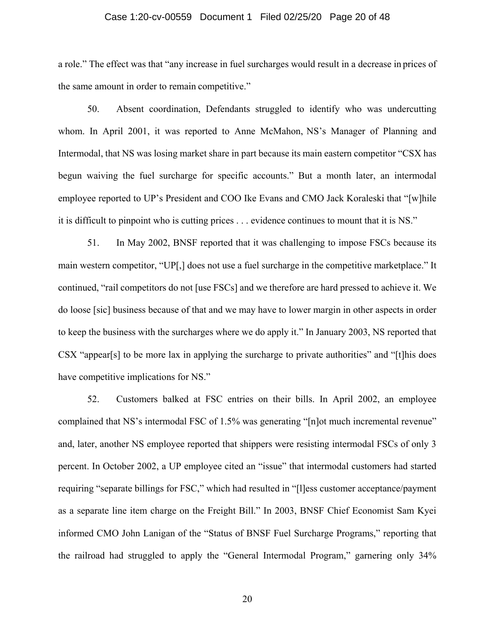#### Case 1:20-cv-00559 Document 1 Filed 02/25/20 Page 20 of 48

a role." The effect was that "any increase in fuel surcharges would result in a decrease in prices of the same amount in order to remain competitive."

50. Absent coordination, Defendants struggled to identify who was undercutting whom. In April 2001, it was reported to Anne McMahon, NS's Manager of Planning and Intermodal, that NS was losing market share in part because its main eastern competitor "CSX has begun waiving the fuel surcharge for specific accounts." But a month later, an intermodal employee reported to UP's President and COO Ike Evans and CMO Jack Koraleski that "[w]hile it is difficult to pinpoint who is cutting prices . . . evidence continues to mount that it is NS."

51. In May 2002, BNSF reported that it was challenging to impose FSCs because its main western competitor, "UP[,] does not use a fuel surcharge in the competitive marketplace." It continued, "rail competitors do not [use FSCs] and we therefore are hard pressed to achieve it. We do loose [sic] business because of that and we may have to lower margin in other aspects in order to keep the business with the surcharges where we do apply it." In January 2003, NS reported that CSX "appear[s] to be more lax in applying the surcharge to private authorities" and "[t]his does have competitive implications for NS."

52. Customers balked at FSC entries on their bills. In April 2002, an employee complained that NS's intermodal FSC of 1.5% was generating "[n]ot much incremental revenue" and, later, another NS employee reported that shippers were resisting intermodal FSCs of only 3 percent. In October 2002, a UP employee cited an "issue" that intermodal customers had started requiring "separate billings for FSC," which had resulted in "[l]ess customer acceptance/payment as a separate line item charge on the Freight Bill." In 2003, BNSF Chief Economist Sam Kyei informed CMO John Lanigan of the "Status of BNSF Fuel Surcharge Programs," reporting that the railroad had struggled to apply the "General Intermodal Program," garnering only 34%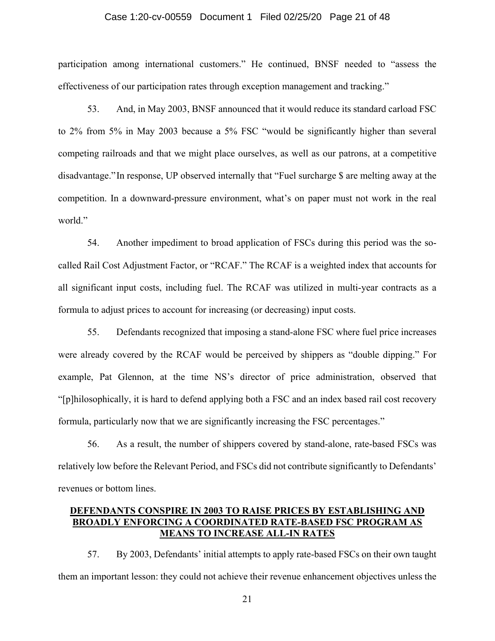## Case 1:20-cv-00559 Document 1 Filed 02/25/20 Page 21 of 48

participation among international customers." He continued, BNSF needed to "assess the effectiveness of our participation rates through exception management and tracking."

53. And, in May 2003, BNSF announced that it would reduce its standard carload FSC to 2% from 5% in May 2003 because a 5% FSC "would be significantly higher than several competing railroads and that we might place ourselves, as well as our patrons, at a competitive disadvantage." In response, UP observed internally that "Fuel surcharge \$ are melting away at the competition. In a downward-pressure environment, what's on paper must not work in the real world."

54. Another impediment to broad application of FSCs during this period was the socalled Rail Cost Adjustment Factor, or "RCAF." The RCAF is a weighted index that accounts for all significant input costs, including fuel. The RCAF was utilized in multi-year contracts as a formula to adjust prices to account for increasing (or decreasing) input costs.

55. Defendants recognized that imposing a stand-alone FSC where fuel price increases were already covered by the RCAF would be perceived by shippers as "double dipping." For example, Pat Glennon, at the time NS's director of price administration, observed that "[p]hilosophically, it is hard to defend applying both a FSC and an index based rail cost recovery formula, particularly now that we are significantly increasing the FSC percentages."

56. As a result, the number of shippers covered by stand-alone, rate-based FSCs was relatively low before the Relevant Period, and FSCs did not contribute significantly to Defendants' revenues or bottom lines.

# **DEFENDANTS CONSPIRE IN 2003 TO RAISE PRICES BY ESTABLISHING AND BROADLY ENFORCING A COORDINATED RATE-BASED FSC PROGRAM AS MEANS TO INCREASE ALL-IN RATES**

57. By 2003, Defendants' initial attempts to apply rate-based FSCs on their own taught them an important lesson: they could not achieve their revenue enhancement objectives unless the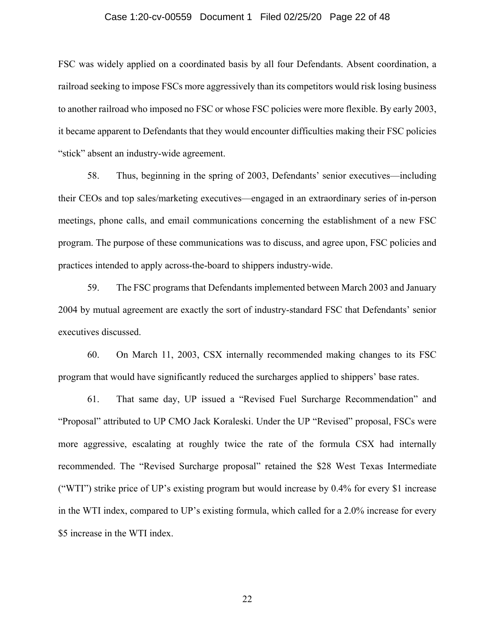## Case 1:20-cv-00559 Document 1 Filed 02/25/20 Page 22 of 48

FSC was widely applied on a coordinated basis by all four Defendants. Absent coordination, a railroad seeking to impose FSCs more aggressively than its competitors would risk losing business to another railroad who imposed no FSC or whose FSC policies were more flexible. By early 2003, it became apparent to Defendants that they would encounter difficulties making their FSC policies "stick" absent an industry-wide agreement.

58. Thus, beginning in the spring of 2003, Defendants' senior executives—including their CEOs and top sales/marketing executives—engaged in an extraordinary series of in-person meetings, phone calls, and email communications concerning the establishment of a new FSC program. The purpose of these communications was to discuss, and agree upon, FSC policies and practices intended to apply across-the-board to shippers industry-wide.

59. The FSC programs that Defendants implemented between March 2003 and January 2004 by mutual agreement are exactly the sort of industry-standard FSC that Defendants' senior executives discussed.

60. On March 11, 2003, CSX internally recommended making changes to its FSC program that would have significantly reduced the surcharges applied to shippers' base rates.

61. That same day, UP issued a "Revised Fuel Surcharge Recommendation" and "Proposal" attributed to UP CMO Jack Koraleski. Under the UP "Revised" proposal, FSCs were more aggressive, escalating at roughly twice the rate of the formula CSX had internally recommended. The "Revised Surcharge proposal" retained the \$28 West Texas Intermediate ("WTI") strike price of UP's existing program but would increase by 0.4% for every \$1 increase in the WTI index, compared to UP's existing formula, which called for a 2.0% increase for every \$5 increase in the WTI index.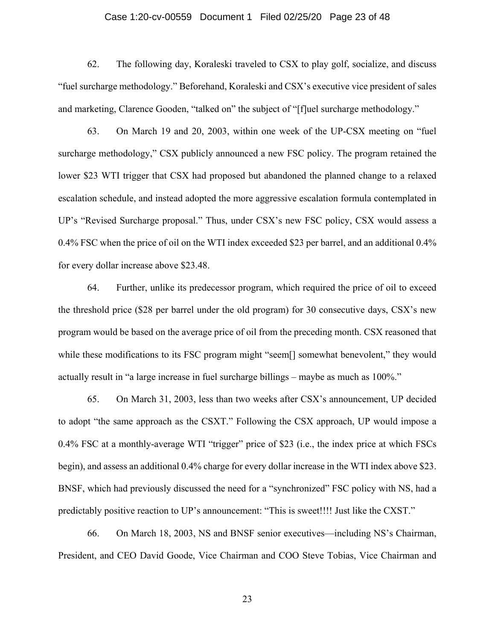## Case 1:20-cv-00559 Document 1 Filed 02/25/20 Page 23 of 48

62. The following day, Koraleski traveled to CSX to play golf, socialize, and discuss "fuel surcharge methodology." Beforehand, Koraleski and CSX's executive vice president of sales and marketing, Clarence Gooden, "talked on" the subject of "[f]uel surcharge methodology."

63. On March 19 and 20, 2003, within one week of the UP-CSX meeting on "fuel surcharge methodology," CSX publicly announced a new FSC policy. The program retained the lower \$23 WTI trigger that CSX had proposed but abandoned the planned change to a relaxed escalation schedule, and instead adopted the more aggressive escalation formula contemplated in UP's "Revised Surcharge proposal." Thus, under CSX's new FSC policy, CSX would assess a 0.4% FSC when the price of oil on the WTI index exceeded \$23 per barrel, and an additional 0.4% for every dollar increase above \$23.48.

64. Further, unlike its predecessor program, which required the price of oil to exceed the threshold price (\$28 per barrel under the old program) for 30 consecutive days, CSX's new program would be based on the average price of oil from the preceding month. CSX reasoned that while these modifications to its FSC program might "seem[] somewhat benevolent," they would actually result in "a large increase in fuel surcharge billings – maybe as much as 100%."

65. On March 31, 2003, less than two weeks after CSX's announcement, UP decided to adopt "the same approach as the CSXT." Following the CSX approach, UP would impose a 0.4% FSC at a monthly-average WTI "trigger" price of \$23 (i.e., the index price at which FSCs begin), and assess an additional 0.4% charge for every dollar increase in the WTI index above \$23. BNSF, which had previously discussed the need for a "synchronized" FSC policy with NS, had a predictably positive reaction to UP's announcement: "This is sweet!!!! Just like the CXST."

66. On March 18, 2003, NS and BNSF senior executives—including NS's Chairman, President, and CEO David Goode, Vice Chairman and COO Steve Tobias, Vice Chairman and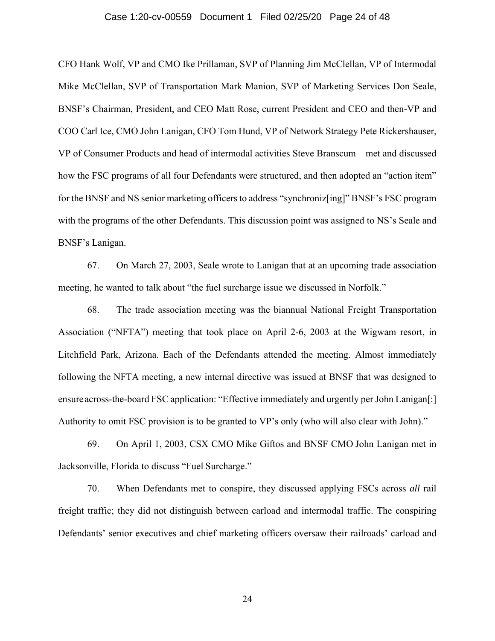## Case 1:20-cv-00559 Document 1 Filed 02/25/20 Page 24 of 48

CFO Hank Wolf, VP and CMO Ike Prillaman, SVP of Planning Jim McClellan, VP of Intermodal Mike McClellan, SVP of Transportation Mark Manion, SVP of Marketing Services Don Seale, BNSF's Chairman, President, and CEO Matt Rose, current President and CEO and then-VP and COO Carl Ice, CMO John Lanigan, CFO Tom Hund, VP of Network Strategy Pete Rickershauser, VP of Consumer Products and head of intermodal activities Steve Branscum—met and discussed how the FSC programs of all four Defendants were structured, and then adopted an "action item" for the BNSF and NS senior marketing officers to address "synchroniz[ing]" BNSF's FSC program with the programs of the other Defendants. This discussion point was assigned to NS's Seale and BNSF's Lanigan.

67. On March 27, 2003, Seale wrote to Lanigan that at an upcoming trade association meeting, he wanted to talk about "the fuel surcharge issue we discussed in Norfolk."

68. The trade association meeting was the biannual National Freight Transportation Association ("NFTA") meeting that took place on April 2-6, 2003 at the Wigwam resort, in Litchfield Park, Arizona. Each of the Defendants attended the meeting. Almost immediately following the NFTA meeting, a new internal directive was issued at BNSF that was designed to ensure across-the-board FSC application: "Effective immediately and urgently per John Lanigan[:] Authority to omit FSC provision is to be granted to VP's only (who will also clear with John)."

69. On April 1, 2003, CSX CMO Mike Giftos and BNSF CMO John Lanigan met in Jacksonville, Florida to discuss "Fuel Surcharge."

70. When Defendants met to conspire, they discussed applying FSCs across *all* rail freight traffic; they did not distinguish between carload and intermodal traffic. The conspiring Defendants' senior executives and chief marketing officers oversaw their railroads' carload and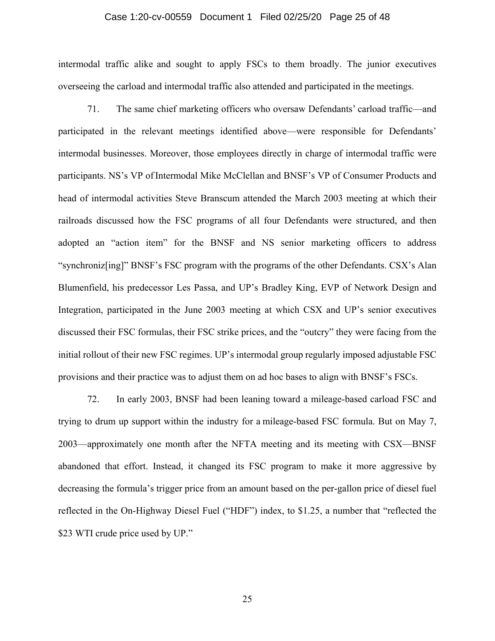## Case 1:20-cv-00559 Document 1 Filed 02/25/20 Page 25 of 48

intermodal traffic alike and sought to apply FSCs to them broadly. The junior executives overseeing the carload and intermodal traffic also attended and participated in the meetings.

71. The same chief marketing officers who oversaw Defendants' carload traffic—and participated in the relevant meetings identified above—were responsible for Defendants' intermodal businesses. Moreover, those employees directly in charge of intermodal traffic were participants. NS's VP of Intermodal Mike McClellan and BNSF's VP of Consumer Products and head of intermodal activities Steve Branscum attended the March 2003 meeting at which their railroads discussed how the FSC programs of all four Defendants were structured, and then adopted an "action item" for the BNSF and NS senior marketing officers to address "synchroniz[ing]" BNSF's FSC program with the programs of the other Defendants. CSX's Alan Blumenfield, his predecessor Les Passa, and UP's Bradley King, EVP of Network Design and Integration, participated in the June 2003 meeting at which CSX and UP's senior executives discussed their FSC formulas, their FSC strike prices, and the "outcry" they were facing from the initial rollout of their new FSC regimes. UP's intermodal group regularly imposed adjustable FSC provisions and their practice was to adjust them on ad hoc bases to align with BNSF's FSCs.

72. In early 2003, BNSF had been leaning toward a mileage-based carload FSC and trying to drum up support within the industry for a mileage-based FSC formula. But on May 7, 2003—approximately one month after the NFTA meeting and its meeting with CSX—BNSF abandoned that effort. Instead, it changed its FSC program to make it more aggressive by decreasing the formula's trigger price from an amount based on the per-gallon price of diesel fuel reflected in the On-Highway Diesel Fuel ("HDF") index, to \$1.25, a number that "reflected the \$23 WTI crude price used by UP."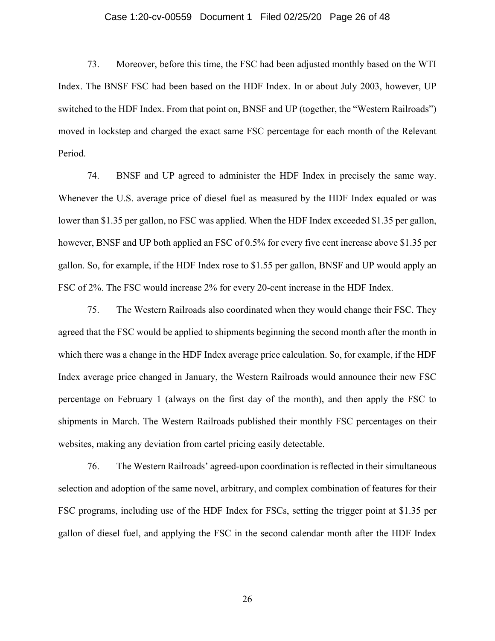## Case 1:20-cv-00559 Document 1 Filed 02/25/20 Page 26 of 48

73. Moreover, before this time, the FSC had been adjusted monthly based on the WTI Index. The BNSF FSC had been based on the HDF Index. In or about July 2003, however, UP switched to the HDF Index. From that point on, BNSF and UP (together, the "Western Railroads") moved in lockstep and charged the exact same FSC percentage for each month of the Relevant Period.

74. BNSF and UP agreed to administer the HDF Index in precisely the same way. Whenever the U.S. average price of diesel fuel as measured by the HDF Index equaled or was lower than \$1.35 per gallon, no FSC was applied. When the HDF Index exceeded \$1.35 per gallon, however, BNSF and UP both applied an FSC of 0.5% for every five cent increase above \$1.35 per gallon. So, for example, if the HDF Index rose to \$1.55 per gallon, BNSF and UP would apply an FSC of 2%. The FSC would increase 2% for every 20-cent increase in the HDF Index.

75. The Western Railroads also coordinated when they would change their FSC. They agreed that the FSC would be applied to shipments beginning the second month after the month in which there was a change in the HDF Index average price calculation. So, for example, if the HDF Index average price changed in January, the Western Railroads would announce their new FSC percentage on February 1 (always on the first day of the month), and then apply the FSC to shipments in March. The Western Railroads published their monthly FSC percentages on their websites, making any deviation from cartel pricing easily detectable.

76. The Western Railroads' agreed-upon coordination is reflected in their simultaneous selection and adoption of the same novel, arbitrary, and complex combination of features for their FSC programs, including use of the HDF Index for FSCs, setting the trigger point at \$1.35 per gallon of diesel fuel, and applying the FSC in the second calendar month after the HDF Index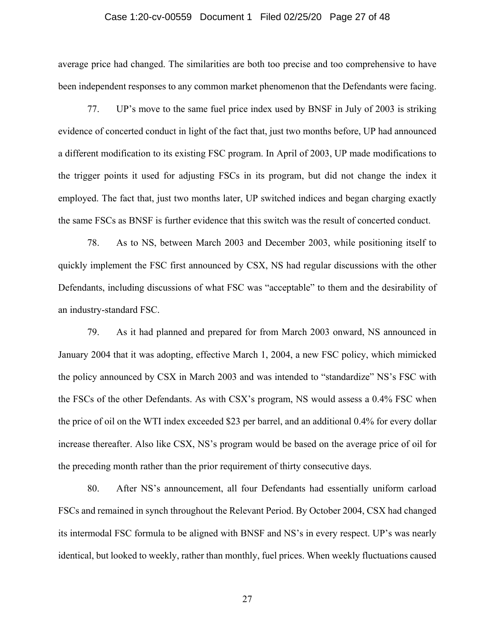## Case 1:20-cv-00559 Document 1 Filed 02/25/20 Page 27 of 48

average price had changed. The similarities are both too precise and too comprehensive to have been independent responses to any common market phenomenon that the Defendants were facing.

77. UP's move to the same fuel price index used by BNSF in July of 2003 is striking evidence of concerted conduct in light of the fact that, just two months before, UP had announced a different modification to its existing FSC program. In April of 2003, UP made modifications to the trigger points it used for adjusting FSCs in its program, but did not change the index it employed. The fact that, just two months later, UP switched indices and began charging exactly the same FSCs as BNSF is further evidence that this switch was the result of concerted conduct.

78. As to NS, between March 2003 and December 2003, while positioning itself to quickly implement the FSC first announced by CSX, NS had regular discussions with the other Defendants, including discussions of what FSC was "acceptable" to them and the desirability of an industry-standard FSC.

79. As it had planned and prepared for from March 2003 onward, NS announced in January 2004 that it was adopting, effective March 1, 2004, a new FSC policy, which mimicked the policy announced by CSX in March 2003 and was intended to "standardize" NS's FSC with the FSCs of the other Defendants. As with CSX's program, NS would assess a 0.4% FSC when the price of oil on the WTI index exceeded \$23 per barrel, and an additional 0.4% for every dollar increase thereafter. Also like CSX, NS's program would be based on the average price of oil for the preceding month rather than the prior requirement of thirty consecutive days.

80. After NS's announcement, all four Defendants had essentially uniform carload FSCs and remained in synch throughout the Relevant Period. By October 2004, CSX had changed its intermodal FSC formula to be aligned with BNSF and NS's in every respect. UP's was nearly identical, but looked to weekly, rather than monthly, fuel prices. When weekly fluctuations caused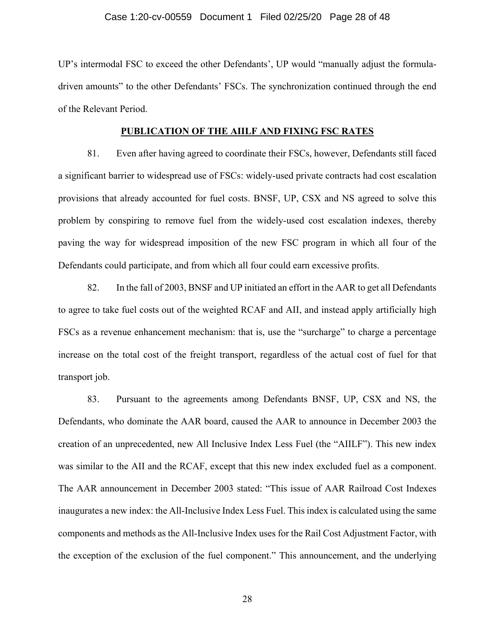## Case 1:20-cv-00559 Document 1 Filed 02/25/20 Page 28 of 48

UP's intermodal FSC to exceed the other Defendants', UP would "manually adjust the formuladriven amounts" to the other Defendants' FSCs. The synchronization continued through the end of the Relevant Period.

## **PUBLICATION OF THE AIILF AND FIXING FSC RATES**

81. Even after having agreed to coordinate their FSCs, however, Defendants still faced a significant barrier to widespread use of FSCs: widely-used private contracts had cost escalation provisions that already accounted for fuel costs. BNSF, UP, CSX and NS agreed to solve this problem by conspiring to remove fuel from the widely-used cost escalation indexes, thereby paving the way for widespread imposition of the new FSC program in which all four of the Defendants could participate, and from which all four could earn excessive profits.

82. In the fall of 2003, BNSF and UP initiated an effort in the AAR to get all Defendants to agree to take fuel costs out of the weighted RCAF and AII, and instead apply artificially high FSCs as a revenue enhancement mechanism: that is, use the "surcharge" to charge a percentage increase on the total cost of the freight transport, regardless of the actual cost of fuel for that transport job.

83. Pursuant to the agreements among Defendants BNSF, UP, CSX and NS, the Defendants, who dominate the AAR board, caused the AAR to announce in December 2003 the creation of an unprecedented, new All Inclusive Index Less Fuel (the "AIILF"). This new index was similar to the AII and the RCAF, except that this new index excluded fuel as a component. The AAR announcement in December 2003 stated: "This issue of AAR Railroad Cost Indexes inaugurates a new index: the All-Inclusive Index Less Fuel. This index is calculated using the same components and methods as the All-Inclusive Index uses for the Rail Cost Adjustment Factor, with the exception of the exclusion of the fuel component." This announcement, and the underlying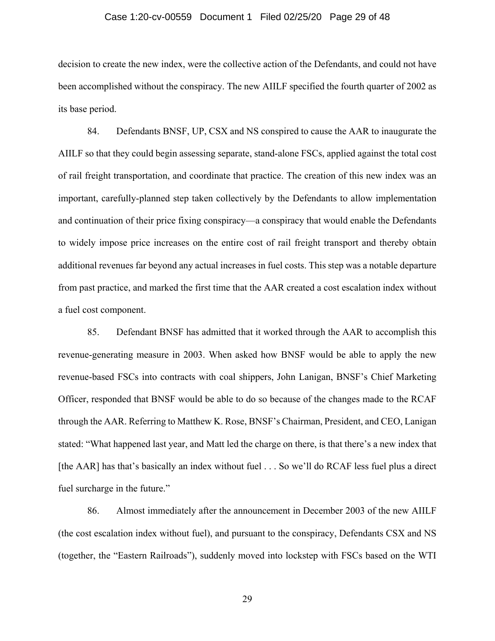## Case 1:20-cv-00559 Document 1 Filed 02/25/20 Page 29 of 48

decision to create the new index, were the collective action of the Defendants, and could not have been accomplished without the conspiracy. The new AIILF specified the fourth quarter of 2002 as its base period.

84. Defendants BNSF, UP, CSX and NS conspired to cause the AAR to inaugurate the AIILF so that they could begin assessing separate, stand-alone FSCs, applied against the total cost of rail freight transportation, and coordinate that practice. The creation of this new index was an important, carefully-planned step taken collectively by the Defendants to allow implementation and continuation of their price fixing conspiracy—a conspiracy that would enable the Defendants to widely impose price increases on the entire cost of rail freight transport and thereby obtain additional revenues far beyond any actual increases in fuel costs. This step was a notable departure from past practice, and marked the first time that the AAR created a cost escalation index without a fuel cost component.

85. Defendant BNSF has admitted that it worked through the AAR to accomplish this revenue-generating measure in 2003. When asked how BNSF would be able to apply the new revenue-based FSCs into contracts with coal shippers, John Lanigan, BNSF's Chief Marketing Officer, responded that BNSF would be able to do so because of the changes made to the RCAF through the AAR. Referring to Matthew K. Rose, BNSF's Chairman, President, and CEO, Lanigan stated: "What happened last year, and Matt led the charge on there, is that there's a new index that [the AAR] has that's basically an index without fuel . . . So we'll do RCAF less fuel plus a direct fuel surcharge in the future."

86. Almost immediately after the announcement in December 2003 of the new AIILF (the cost escalation index without fuel), and pursuant to the conspiracy, Defendants CSX and NS (together, the "Eastern Railroads"), suddenly moved into lockstep with FSCs based on the WTI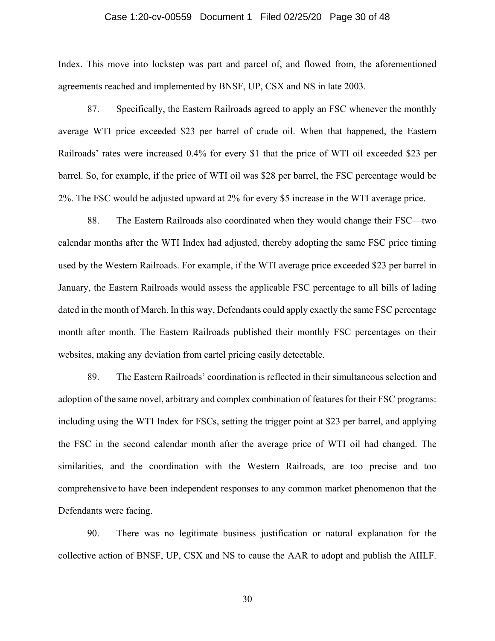## Case 1:20-cv-00559 Document 1 Filed 02/25/20 Page 30 of 48

Index. This move into lockstep was part and parcel of, and flowed from, the aforementioned agreements reached and implemented by BNSF, UP, CSX and NS in late 2003.

87. Specifically, the Eastern Railroads agreed to apply an FSC whenever the monthly average WTI price exceeded \$23 per barrel of crude oil. When that happened, the Eastern Railroads' rates were increased 0.4% for every \$1 that the price of WTI oil exceeded \$23 per barrel. So, for example, if the price of WTI oil was \$28 per barrel, the FSC percentage would be 2%. The FSC would be adjusted upward at 2% for every \$5 increase in the WTI average price.

88. The Eastern Railroads also coordinated when they would change their FSC—two calendar months after the WTI Index had adjusted, thereby adopting the same FSC price timing used by the Western Railroads. For example, if the WTI average price exceeded \$23 per barrel in January, the Eastern Railroads would assess the applicable FSC percentage to all bills of lading dated in the month of March. In this way, Defendants could apply exactly the same FSC percentage month after month. The Eastern Railroads published their monthly FSC percentages on their websites, making any deviation from cartel pricing easily detectable.

89. The Eastern Railroads' coordination is reflected in their simultaneous selection and adoption of the same novel, arbitrary and complex combination of features for their FSC programs: including using the WTI Index for FSCs, setting the trigger point at \$23 per barrel, and applying the FSC in the second calendar month after the average price of WTI oil had changed. The similarities, and the coordination with the Western Railroads, are too precise and too comprehensive to have been independent responses to any common market phenomenon that the Defendants were facing.

90. There was no legitimate business justification or natural explanation for the collective action of BNSF, UP, CSX and NS to cause the AAR to adopt and publish the AIILF.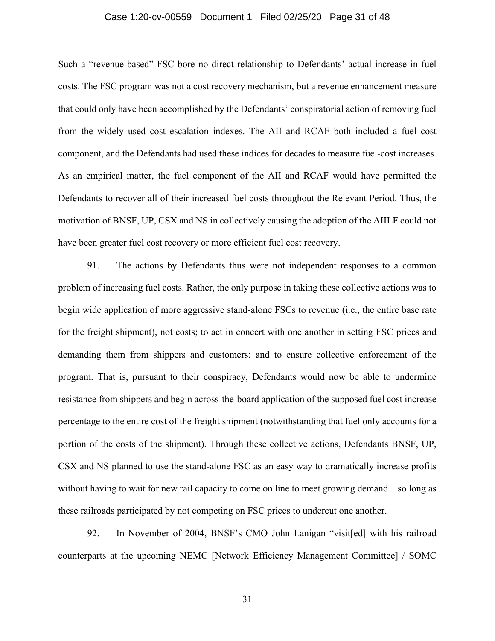#### Case 1:20-cv-00559 Document 1 Filed 02/25/20 Page 31 of 48

Such a "revenue-based" FSC bore no direct relationship to Defendants' actual increase in fuel costs. The FSC program was not a cost recovery mechanism, but a revenue enhancement measure that could only have been accomplished by the Defendants' conspiratorial action of removing fuel from the widely used cost escalation indexes. The AII and RCAF both included a fuel cost component, and the Defendants had used these indices for decades to measure fuel-cost increases. As an empirical matter, the fuel component of the AII and RCAF would have permitted the Defendants to recover all of their increased fuel costs throughout the Relevant Period. Thus, the motivation of BNSF, UP, CSX and NS in collectively causing the adoption of the AIILF could not have been greater fuel cost recovery or more efficient fuel cost recovery.

91. The actions by Defendants thus were not independent responses to a common problem of increasing fuel costs. Rather, the only purpose in taking these collective actions was to begin wide application of more aggressive stand-alone FSCs to revenue (i.e., the entire base rate for the freight shipment), not costs; to act in concert with one another in setting FSC prices and demanding them from shippers and customers; and to ensure collective enforcement of the program. That is, pursuant to their conspiracy, Defendants would now be able to undermine resistance from shippers and begin across-the-board application of the supposed fuel cost increase percentage to the entire cost of the freight shipment (notwithstanding that fuel only accounts for a portion of the costs of the shipment). Through these collective actions, Defendants BNSF, UP, CSX and NS planned to use the stand-alone FSC as an easy way to dramatically increase profits without having to wait for new rail capacity to come on line to meet growing demand—so long as these railroads participated by not competing on FSC prices to undercut one another.

92. In November of 2004, BNSF's CMO John Lanigan "visit[ed] with his railroad counterparts at the upcoming NEMC [Network Efficiency Management Committee] / SOMC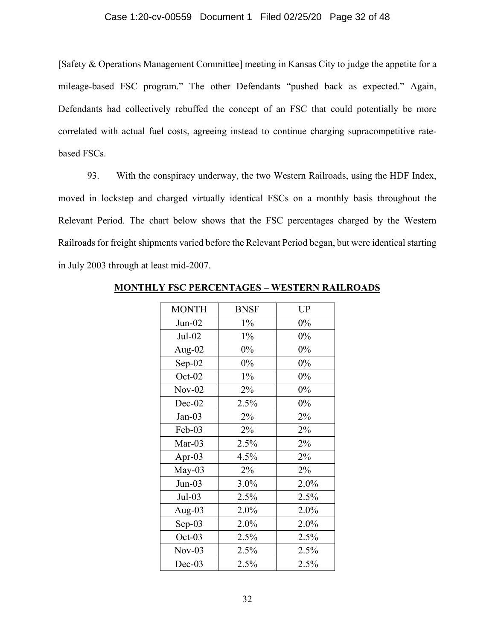## Case 1:20-cv-00559 Document 1 Filed 02/25/20 Page 32 of 48

[Safety & Operations Management Committee] meeting in Kansas City to judge the appetite for a mileage-based FSC program." The other Defendants "pushed back as expected." Again, Defendants had collectively rebuffed the concept of an FSC that could potentially be more correlated with actual fuel costs, agreeing instead to continue charging supracompetitive ratebased FSCs.

93. With the conspiracy underway, the two Western Railroads, using the HDF Index, moved in lockstep and charged virtually identical FSCs on a monthly basis throughout the Relevant Period. The chart below shows that the FSC percentages charged by the Western Railroads for freight shipments varied before the Relevant Period began, but were identical starting in July 2003 through at least mid-2007.

| <b>MONTH</b> | <b>BNSF</b> | <b>UP</b> |
|--------------|-------------|-----------|
| $Jun-02$     | $1\%$       | $0\%$     |
| $Jul-02$     | $1\%$       | 0%        |
| Aug- $02$    | $0\%$       | 0%        |
| $Sep-02$     | 0%          | 0%        |
| $Oct-02$     | $1\%$       | 0%        |
| $Nov-02$     | 2%          | 0%        |
| $Dec-02$     | 2.5%        | 0%        |
| $Jan-03$     | 2%          | 2%        |
| Feb-03       | 2%          | 2%        |
| $Mar-03$     | 2.5%        | 2%        |
| Apr-03       | 4.5%        | 2%        |
| $May-03$     | 2%          | 2%        |
| $Jun-03$     | 3.0%        | 2.0%      |
| $Jul-03$     | 2.5%        | 2.5%      |
| Aug-03       | 2.0%        | 2.0%      |
| $Sep-03$     | 2.0%        | 2.0%      |
| $Oct-03$     | 2.5%        | 2.5%      |
| $Nov-03$     | 2.5%        | 2.5%      |
| $Dec-03$     | 2.5%        | 2.5%      |

**MONTHLY FSC PERCENTAGES – WESTERN RAILROADS**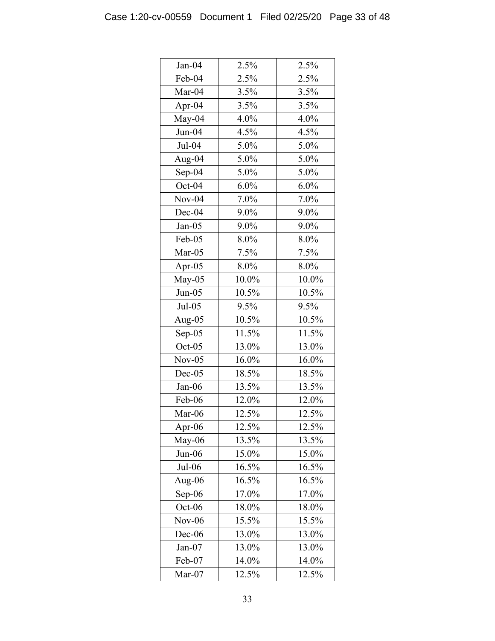| $Jan-04$  | 2.5%  | 2.5%  |
|-----------|-------|-------|
| Feb-04    | 2.5%  | 2.5%  |
| Mar-04    | 3.5%  | 3.5%  |
| Apr- $04$ | 3.5%  | 3.5%  |
| May-04    | 4.0%  | 4.0%  |
| $Jun-04$  | 4.5%  | 4.5%  |
| $Jul-04$  | 5.0%  | 5.0%  |
| Aug-04    | 5.0%  | 5.0%  |
| $Sep-04$  | 5.0%  | 5.0%  |
| Oct-04    | 6.0%  | 6.0%  |
| $Nov-04$  | 7.0%  | 7.0%  |
| Dec-04    | 9.0%  | 9.0%  |
| $Jan-05$  | 9.0%  | 9.0%  |
| Feb-05    | 8.0%  | 8.0%  |
| $Mar-05$  | 7.5%  | 7.5%  |
| Apr- $05$ | 8.0%  | 8.0%  |
| May-05    | 10.0% | 10.0% |
| $Jun-05$  | 10.5% | 10.5% |
| $Jul-05$  | 9.5%  | 9.5%  |
| Aug-05    | 10.5% | 10.5% |
| $Sep-05$  | 11.5% | 11.5% |
| $Oct-05$  | 13.0% | 13.0% |
| $Nov-05$  | 16.0% | 16.0% |
| $Dec-05$  | 18.5% | 18.5% |
| $Jan-06$  | 13.5% | 13.5% |
| Feb-06    | 12.0% | 12.0% |
| Mar-06    | 12.5% | 12.5% |
| Apr-06    | 12.5% | 12.5% |
| May-06    | 13.5% | 13.5% |
| $Jun-06$  | 15.0% | 15.0% |
| $Jul-06$  | 16.5% | 16.5% |
| Aug-06    | 16.5% | 16.5% |
| Sep-06    | 17.0% | 17.0% |
| Oct-06    | 18.0% | 18.0% |
| $Nov-06$  | 15.5% | 15.5% |
| $Dec-06$  | 13.0% | 13.0% |
| $Jan-07$  | 13.0% | 13.0% |
| Feb-07    | 14.0% | 14.0% |
| Mar-07    | 12.5% | 12.5% |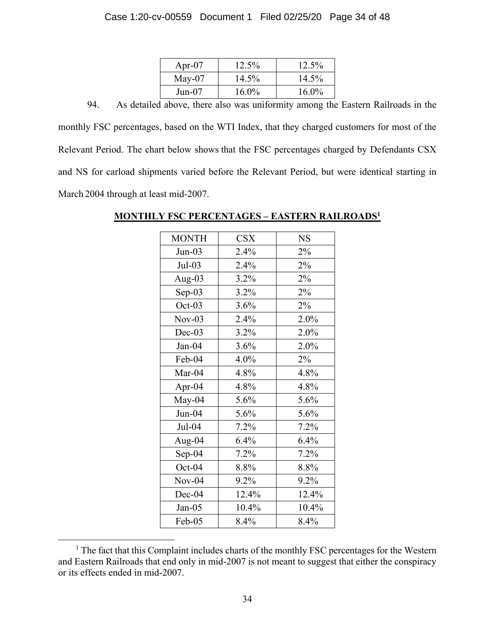## Case 1:20-cv-00559 Document 1 Filed 02/25/20 Page 34 of 48

| Apr-07   | 12.5% | 12.5% |
|----------|-------|-------|
| $May-07$ | 14.5% | 14.5% |
| $Jun-07$ | 16.0% | 16.0% |

94. As detailed above, there also was uniformity among the Eastern Railroads in the monthly FSC percentages, based on the WTI Index, that they charged customers for most of the Relevant Period. The chart below shows that the FSC percentages charged by Defendants CSX and NS for carload shipments varied before the Relevant Period, but were identical starting in March 2004 through at least mid-2007.

# MONTH CSX NS Jun-03 2.4% 2% Jul-03  $\vert$  2.4%  $\vert$  2% Aug-03 3.2% 2% Sep-03 3.2% 2% Oct-03 3.6% 2% Nov-03 2.4% 2.0% Dec-03  $3.2\%$  2.0% Jan-04 3.6% 2.0% Feb-04 | 4.0% | 2% Mar-04 4.8% 4.8% Apr-04 4.8% 4.8% May-04 |  $5.6\%$  |  $5.6\%$ Jun-04  $5.6\%$  5.6% Jul-04 7.2% 7.2% Aug-04 6.4% 6.4% Sep-04 7.2% 7.2% Oct-04  $8.8\%$  8.8% Nov-04 9.2% 9.2% Dec-04 12.4% 12.4% Jan-05 10.4% 10.4% Feb-05  $8.4\%$   $8.4\%$

## **MONTHLY FSC PERCENTAGES – EASTERN RAILROADS1**

 <sup>1</sup>  $<sup>1</sup>$  The fact that this Complaint includes charts of the monthly FSC percentages for the Western</sup> and Eastern Railroads that end only in mid-2007 is not meant to suggest that either the conspiracy or its effects ended in mid-2007.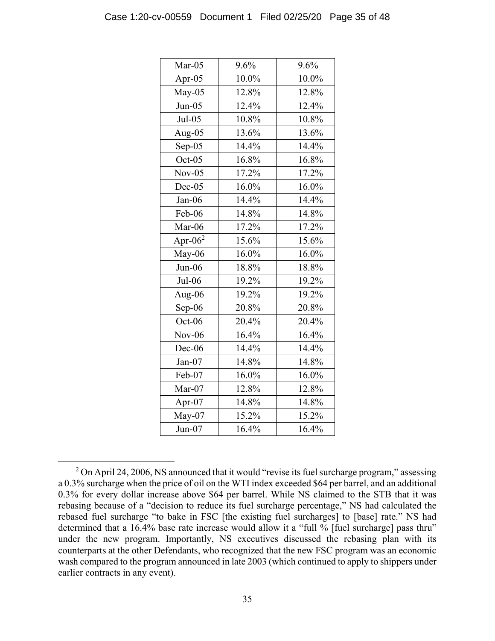| $Mar-05$   | 9.6%  | 9.6%  |
|------------|-------|-------|
| Apr- $05$  | 10.0% | 10.0% |
| $May-05$   | 12.8% | 12.8% |
| $Jun-05$   | 12.4% | 12.4% |
| $Jul-05$   | 10.8% | 10.8% |
| Aug-05     | 13.6% | 13.6% |
| $Sep-05$   | 14.4% | 14.4% |
| $Oct-05$   | 16.8% | 16.8% |
| $Nov-05$   | 17.2% | 17.2% |
| $Dec-05$   | 16.0% | 16.0% |
| Jan-06     | 14.4% | 14.4% |
| Feb-06     | 14.8% | 14.8% |
| Mar-06     | 17.2% | 17.2% |
| Apr- $062$ | 15.6% | 15.6% |
| May-06     | 16.0% | 16.0% |
| $Jun-06$   | 18.8% | 18.8% |
| $Jul-06$   | 19.2% | 19.2% |
| Aug-06     | 19.2% | 19.2% |
| Sep-06     | 20.8% | 20.8% |
| Oct-06     | 20.4% | 20.4% |
| $Nov-06$   | 16.4% | 16.4% |
| Dec-06     | 14.4% | 14.4% |
| $Jan-07$   | 14.8% | 14.8% |
| Feb-07     | 16.0% | 16.0% |
| Mar-07     | 12.8% | 12.8% |
| Apr-07     | 14.8% | 14.8% |
| May-07     | 15.2% | 15.2% |
| $Jun-07$   | 16.4% | 16.4% |

 <sup>2</sup> On April 24, 2006, NS announced that it would "revise its fuel surcharge program," assessing a 0.3% surcharge when the price of oil on the WTI index exceeded \$64 per barrel, and an additional 0.3% for every dollar increase above \$64 per barrel. While NS claimed to the STB that it was rebasing because of a "decision to reduce its fuel surcharge percentage," NS had calculated the rebased fuel surcharge "to bake in FSC [the existing fuel surcharges] to [base] rate." NS had determined that a 16.4% base rate increase would allow it a "full % [fuel surcharge] pass thru" under the new program. Importantly, NS executives discussed the rebasing plan with its counterparts at the other Defendants, who recognized that the new FSC program was an economic wash compared to the program announced in late 2003 (which continued to apply to shippers under earlier contracts in any event).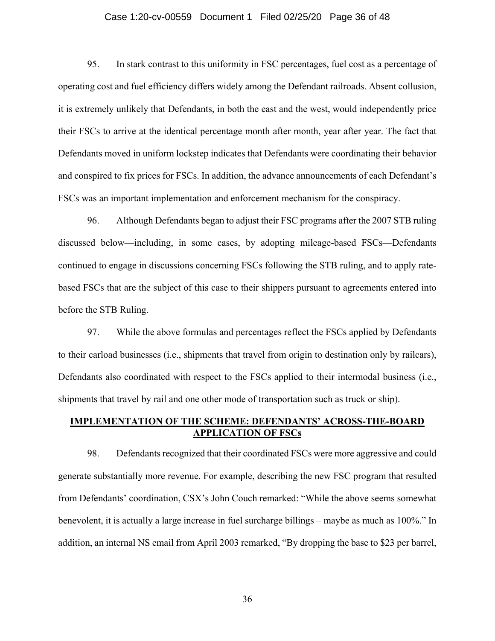## Case 1:20-cv-00559 Document 1 Filed 02/25/20 Page 36 of 48

95. In stark contrast to this uniformity in FSC percentages, fuel cost as a percentage of operating cost and fuel efficiency differs widely among the Defendant railroads. Absent collusion, it is extremely unlikely that Defendants, in both the east and the west, would independently price their FSCs to arrive at the identical percentage month after month, year after year. The fact that Defendants moved in uniform lockstep indicates that Defendants were coordinating their behavior and conspired to fix prices for FSCs. In addition, the advance announcements of each Defendant's FSCs was an important implementation and enforcement mechanism for the conspiracy.

96. Although Defendants began to adjust their FSC programs after the 2007 STB ruling discussed below—including, in some cases, by adopting mileage-based FSCs—Defendants continued to engage in discussions concerning FSCs following the STB ruling, and to apply ratebased FSCs that are the subject of this case to their shippers pursuant to agreements entered into before the STB Ruling.

97. While the above formulas and percentages reflect the FSCs applied by Defendants to their carload businesses (i.e., shipments that travel from origin to destination only by railcars), Defendants also coordinated with respect to the FSCs applied to their intermodal business (i.e., shipments that travel by rail and one other mode of transportation such as truck or ship).

## **IMPLEMENTATION OF THE SCHEME: DEFENDANTS' ACROSS-THE-BOARD APPLICATION OF FSCs**

98. Defendants recognized that their coordinated FSCs were more aggressive and could generate substantially more revenue. For example, describing the new FSC program that resulted from Defendants' coordination, CSX's John Couch remarked: "While the above seems somewhat benevolent, it is actually a large increase in fuel surcharge billings – maybe as much as 100%." In addition, an internal NS email from April 2003 remarked, "By dropping the base to \$23 per barrel,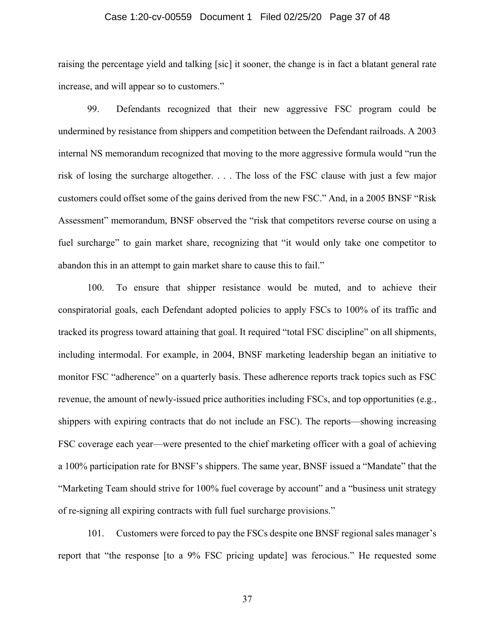#### Case 1:20-cv-00559 Document 1 Filed 02/25/20 Page 37 of 48

raising the percentage yield and talking [sic] it sooner, the change is in fact a blatant general rate increase, and will appear so to customers."

99. Defendants recognized that their new aggressive FSC program could be undermined by resistance from shippers and competition between the Defendant railroads. A 2003 internal NS memorandum recognized that moving to the more aggressive formula would "run the risk of losing the surcharge altogether. . . . The loss of the FSC clause with just a few major customers could offset some of the gains derived from the new FSC." And, in a 2005 BNSF "Risk Assessment" memorandum, BNSF observed the "risk that competitors reverse course on using a fuel surcharge" to gain market share, recognizing that "it would only take one competitor to abandon this in an attempt to gain market share to cause this to fail."

100. To ensure that shipper resistance would be muted, and to achieve their conspiratorial goals, each Defendant adopted policies to apply FSCs to 100% of its traffic and tracked its progress toward attaining that goal. It required "total FSC discipline" on all shipments, including intermodal. For example, in 2004, BNSF marketing leadership began an initiative to monitor FSC "adherence" on a quarterly basis. These adherence reports track topics such as FSC revenue, the amount of newly-issued price authorities including FSCs, and top opportunities (e.g., shippers with expiring contracts that do not include an FSC). The reports—showing increasing FSC coverage each year—were presented to the chief marketing officer with a goal of achieving a 100% participation rate for BNSF's shippers. The same year, BNSF issued a "Mandate" that the "Marketing Team should strive for 100% fuel coverage by account" and a "business unit strategy of re-signing all expiring contracts with full fuel surcharge provisions."

101. Customers were forced to pay the FSCs despite one BNSF regional sales manager's report that "the response [to a 9% FSC pricing update] was ferocious." He requested some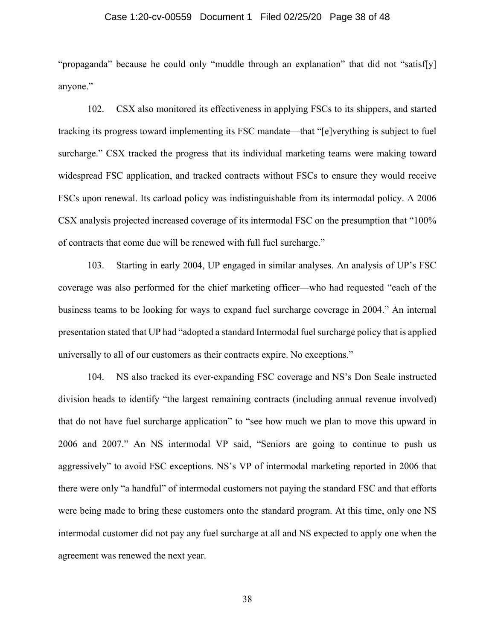#### Case 1:20-cv-00559 Document 1 Filed 02/25/20 Page 38 of 48

"propaganda" because he could only "muddle through an explanation" that did not "satisf[y] anyone."

102. CSX also monitored its effectiveness in applying FSCs to its shippers, and started tracking its progress toward implementing its FSC mandate—that "[e]verything is subject to fuel surcharge." CSX tracked the progress that its individual marketing teams were making toward widespread FSC application, and tracked contracts without FSCs to ensure they would receive FSCs upon renewal. Its carload policy was indistinguishable from its intermodal policy. A 2006 CSX analysis projected increased coverage of its intermodal FSC on the presumption that "100% of contracts that come due will be renewed with full fuel surcharge."

103. Starting in early 2004, UP engaged in similar analyses. An analysis of UP's FSC coverage was also performed for the chief marketing officer—who had requested "each of the business teams to be looking for ways to expand fuel surcharge coverage in 2004." An internal presentation stated that UP had "adopted a standard Intermodal fuel surcharge policy that is applied universally to all of our customers as their contracts expire. No exceptions."

104. NS also tracked its ever-expanding FSC coverage and NS's Don Seale instructed division heads to identify "the largest remaining contracts (including annual revenue involved) that do not have fuel surcharge application" to "see how much we plan to move this upward in 2006 and 2007." An NS intermodal VP said, "Seniors are going to continue to push us aggressively" to avoid FSC exceptions. NS's VP of intermodal marketing reported in 2006 that there were only "a handful" of intermodal customers not paying the standard FSC and that efforts were being made to bring these customers onto the standard program. At this time, only one NS intermodal customer did not pay any fuel surcharge at all and NS expected to apply one when the agreement was renewed the next year.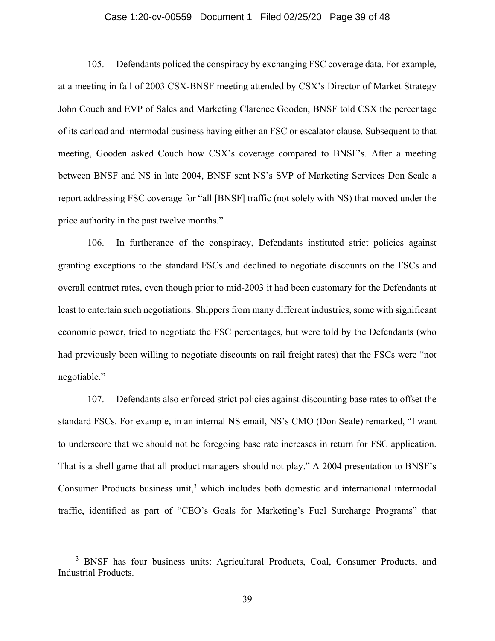## Case 1:20-cv-00559 Document 1 Filed 02/25/20 Page 39 of 48

105. Defendants policed the conspiracy by exchanging FSC coverage data. For example, at a meeting in fall of 2003 CSX-BNSF meeting attended by CSX's Director of Market Strategy John Couch and EVP of Sales and Marketing Clarence Gooden, BNSF told CSX the percentage of its carload and intermodal business having either an FSC or escalator clause. Subsequent to that meeting, Gooden asked Couch how CSX's coverage compared to BNSF's. After a meeting between BNSF and NS in late 2004, BNSF sent NS's SVP of Marketing Services Don Seale a report addressing FSC coverage for "all [BNSF] traffic (not solely with NS) that moved under the price authority in the past twelve months."

106. In furtherance of the conspiracy, Defendants instituted strict policies against granting exceptions to the standard FSCs and declined to negotiate discounts on the FSCs and overall contract rates, even though prior to mid-2003 it had been customary for the Defendants at least to entertain such negotiations. Shippers from many different industries, some with significant economic power, tried to negotiate the FSC percentages, but were told by the Defendants (who had previously been willing to negotiate discounts on rail freight rates) that the FSCs were "not negotiable."

107. Defendants also enforced strict policies against discounting base rates to offset the standard FSCs. For example, in an internal NS email, NS's CMO (Don Seale) remarked, "I want to underscore that we should not be foregoing base rate increases in return for FSC application. That is a shell game that all product managers should not play." A 2004 presentation to BNSF's Consumer Products business unit, $3$  which includes both domestic and international intermodal traffic, identified as part of "CEO's Goals for Marketing's Fuel Surcharge Programs" that

 <sup>3</sup> <sup>3</sup> BNSF has four business units: Agricultural Products, Coal, Consumer Products, and Industrial Products.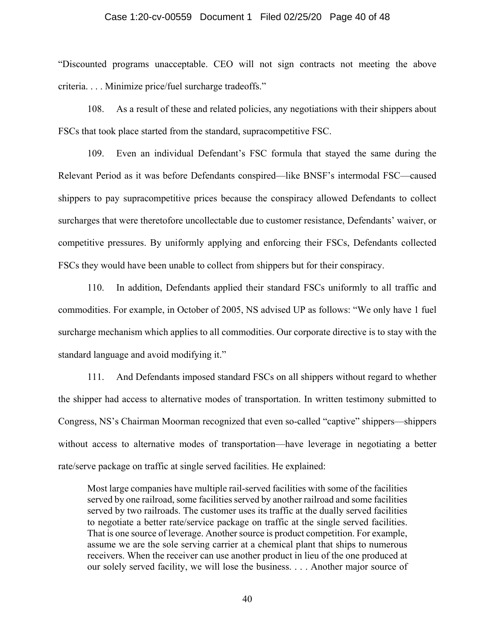#### Case 1:20-cv-00559 Document 1 Filed 02/25/20 Page 40 of 48

"Discounted programs unacceptable. CEO will not sign contracts not meeting the above criteria. . . . Minimize price/fuel surcharge tradeoffs."

108. As a result of these and related policies, any negotiations with their shippers about FSCs that took place started from the standard, supracompetitive FSC.

109. Even an individual Defendant's FSC formula that stayed the same during the Relevant Period as it was before Defendants conspired—like BNSF's intermodal FSC—caused shippers to pay supracompetitive prices because the conspiracy allowed Defendants to collect surcharges that were theretofore uncollectable due to customer resistance, Defendants' waiver, or competitive pressures. By uniformly applying and enforcing their FSCs, Defendants collected FSCs they would have been unable to collect from shippers but for their conspiracy.

110. In addition, Defendants applied their standard FSCs uniformly to all traffic and commodities. For example, in October of 2005, NS advised UP as follows: "We only have 1 fuel surcharge mechanism which applies to all commodities. Our corporate directive is to stay with the standard language and avoid modifying it."

111. And Defendants imposed standard FSCs on all shippers without regard to whether the shipper had access to alternative modes of transportation. In written testimony submitted to Congress, NS's Chairman Moorman recognized that even so-called "captive" shippers—shippers without access to alternative modes of transportation—have leverage in negotiating a better rate/serve package on traffic at single served facilities. He explained:

Most large companies have multiple rail-served facilities with some of the facilities served by one railroad, some facilities served by another railroad and some facilities served by two railroads. The customer uses its traffic at the dually served facilities to negotiate a better rate/service package on traffic at the single served facilities. That is one source of leverage. Another source is product competition. For example, assume we are the sole serving carrier at a chemical plant that ships to numerous receivers. When the receiver can use another product in lieu of the one produced at our solely served facility, we will lose the business. . . . Another major source of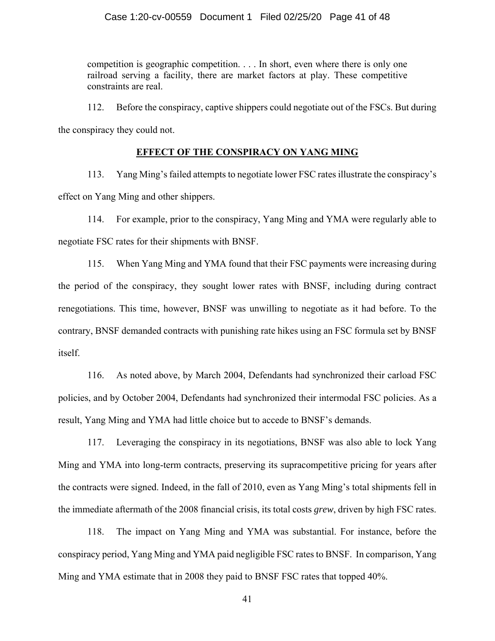competition is geographic competition. . . . In short, even where there is only one railroad serving a facility, there are market factors at play. These competitive constraints are real.

112. Before the conspiracy, captive shippers could negotiate out of the FSCs. But during the conspiracy they could not.

## **EFFECT OF THE CONSPIRACY ON YANG MING**

113. Yang Ming's failed attempts to negotiate lower FSC rates illustrate the conspiracy's effect on Yang Ming and other shippers.

114. For example, prior to the conspiracy, Yang Ming and YMA were regularly able to negotiate FSC rates for their shipments with BNSF.

115. When Yang Ming and YMA found that their FSC payments were increasing during the period of the conspiracy, they sought lower rates with BNSF, including during contract renegotiations. This time, however, BNSF was unwilling to negotiate as it had before. To the contrary, BNSF demanded contracts with punishing rate hikes using an FSC formula set by BNSF itself.

116. As noted above, by March 2004, Defendants had synchronized their carload FSC policies, and by October 2004, Defendants had synchronized their intermodal FSC policies. As a result, Yang Ming and YMA had little choice but to accede to BNSF's demands.

117. Leveraging the conspiracy in its negotiations, BNSF was also able to lock Yang Ming and YMA into long-term contracts, preserving its supracompetitive pricing for years after the contracts were signed. Indeed, in the fall of 2010, even as Yang Ming's total shipments fell in the immediate aftermath of the 2008 financial crisis, its total costs *grew*, driven by high FSC rates.

118. The impact on Yang Ming and YMA was substantial. For instance, before the conspiracy period, Yang Ming and YMA paid negligible FSC rates to BNSF. In comparison, Yang Ming and YMA estimate that in 2008 they paid to BNSF FSC rates that topped 40%.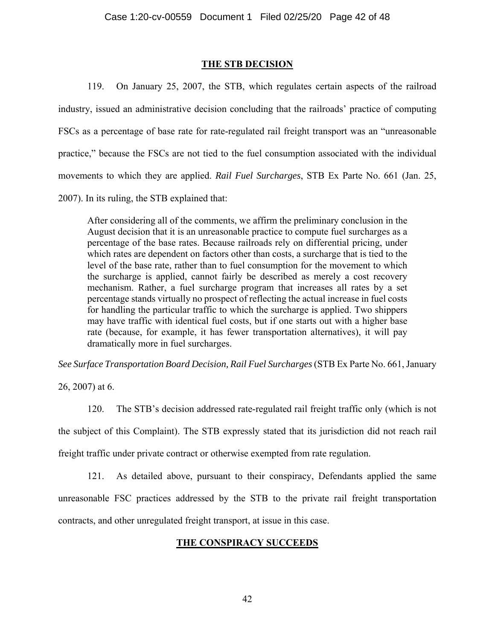## **THE STB DECISION**

119. On January 25, 2007, the STB, which regulates certain aspects of the railroad industry, issued an administrative decision concluding that the railroads' practice of computing FSCs as a percentage of base rate for rate-regulated rail freight transport was an "unreasonable practice," because the FSCs are not tied to the fuel consumption associated with the individual movements to which they are applied. *Rail Fuel Surcharges*, STB Ex Parte No. 661 (Jan. 25, 2007). In its ruling, the STB explained that:

After considering all of the comments, we affirm the preliminary conclusion in the August decision that it is an unreasonable practice to compute fuel surcharges as a percentage of the base rates. Because railroads rely on differential pricing, under which rates are dependent on factors other than costs, a surcharge that is tied to the level of the base rate, rather than to fuel consumption for the movement to which the surcharge is applied, cannot fairly be described as merely a cost recovery mechanism. Rather, a fuel surcharge program that increases all rates by a set percentage stands virtually no prospect of reflecting the actual increase in fuel costs for handling the particular traffic to which the surcharge is applied. Two shippers may have traffic with identical fuel costs, but if one starts out with a higher base rate (because, for example, it has fewer transportation alternatives), it will pay dramatically more in fuel surcharges.

*See Surface Transportation Board Decision, Rail Fuel Surcharges* (STB Ex Parte No. 661, January

26, 2007) at 6.

120. The STB's decision addressed rate-regulated rail freight traffic only (which is not the subject of this Complaint). The STB expressly stated that its jurisdiction did not reach rail freight traffic under private contract or otherwise exempted from rate regulation.

121. As detailed above, pursuant to their conspiracy, Defendants applied the same unreasonable FSC practices addressed by the STB to the private rail freight transportation contracts, and other unregulated freight transport, at issue in this case.

# **THE CONSPIRACY SUCCEEDS**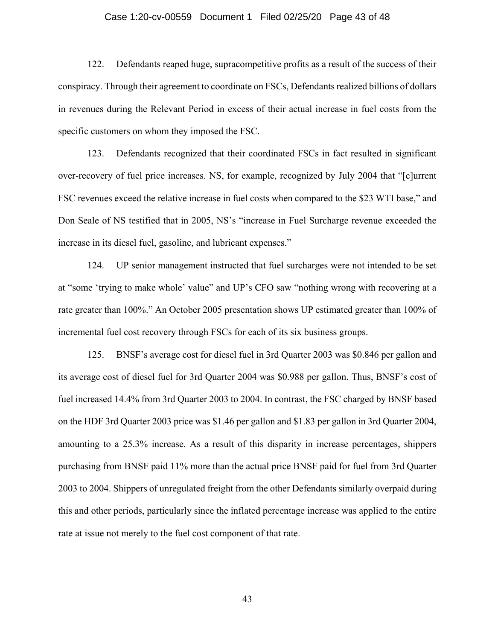## Case 1:20-cv-00559 Document 1 Filed 02/25/20 Page 43 of 48

122. Defendants reaped huge, supracompetitive profits as a result of the success of their conspiracy. Through their agreement to coordinate on FSCs, Defendants realized billions of dollars in revenues during the Relevant Period in excess of their actual increase in fuel costs from the specific customers on whom they imposed the FSC.

123. Defendants recognized that their coordinated FSCs in fact resulted in significant over-recovery of fuel price increases. NS, for example, recognized by July 2004 that "[c]urrent FSC revenues exceed the relative increase in fuel costs when compared to the \$23 WTI base," and Don Seale of NS testified that in 2005, NS's "increase in Fuel Surcharge revenue exceeded the increase in its diesel fuel, gasoline, and lubricant expenses."

124. UP senior management instructed that fuel surcharges were not intended to be set at "some 'trying to make whole' value" and UP's CFO saw "nothing wrong with recovering at a rate greater than 100%." An October 2005 presentation shows UP estimated greater than 100% of incremental fuel cost recovery through FSCs for each of its six business groups.

125. BNSF's average cost for diesel fuel in 3rd Quarter 2003 was \$0.846 per gallon and its average cost of diesel fuel for 3rd Quarter 2004 was \$0.988 per gallon. Thus, BNSF's cost of fuel increased 14.4% from 3rd Quarter 2003 to 2004. In contrast, the FSC charged by BNSF based on the HDF 3rd Quarter 2003 price was \$1.46 per gallon and \$1.83 per gallon in 3rd Quarter 2004, amounting to a 25.3% increase. As a result of this disparity in increase percentages, shippers purchasing from BNSF paid 11% more than the actual price BNSF paid for fuel from 3rd Quarter 2003 to 2004. Shippers of unregulated freight from the other Defendants similarly overpaid during this and other periods, particularly since the inflated percentage increase was applied to the entire rate at issue not merely to the fuel cost component of that rate.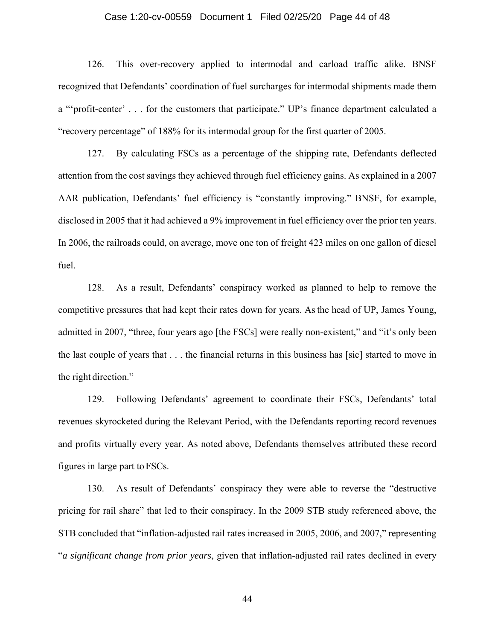## Case 1:20-cv-00559 Document 1 Filed 02/25/20 Page 44 of 48

126. This over-recovery applied to intermodal and carload traffic alike. BNSF recognized that Defendants' coordination of fuel surcharges for intermodal shipments made them a "'profit-center' . . . for the customers that participate." UP's finance department calculated a "recovery percentage" of 188% for its intermodal group for the first quarter of 2005.

127. By calculating FSCs as a percentage of the shipping rate, Defendants deflected attention from the cost savings they achieved through fuel efficiency gains. As explained in a 2007 AAR publication, Defendants' fuel efficiency is "constantly improving." BNSF, for example, disclosed in 2005 that it had achieved a 9% improvement in fuel efficiency over the prior ten years. In 2006, the railroads could, on average, move one ton of freight 423 miles on one gallon of diesel fuel.

128. As a result, Defendants' conspiracy worked as planned to help to remove the competitive pressures that had kept their rates down for years. As the head of UP, James Young, admitted in 2007, "three, four years ago [the FSCs] were really non-existent," and "it's only been the last couple of years that . . . the financial returns in this business has [sic] started to move in the right direction."

129. Following Defendants' agreement to coordinate their FSCs, Defendants' total revenues skyrocketed during the Relevant Period, with the Defendants reporting record revenues and profits virtually every year. As noted above, Defendants themselves attributed these record figures in large part to FSCs.

130. As result of Defendants' conspiracy they were able to reverse the "destructive pricing for rail share" that led to their conspiracy. In the 2009 STB study referenced above, the STB concluded that "inflation-adjusted rail rates increased in 2005, 2006, and 2007," representing "*a significant change from prior years*, given that inflation-adjusted rail rates declined in every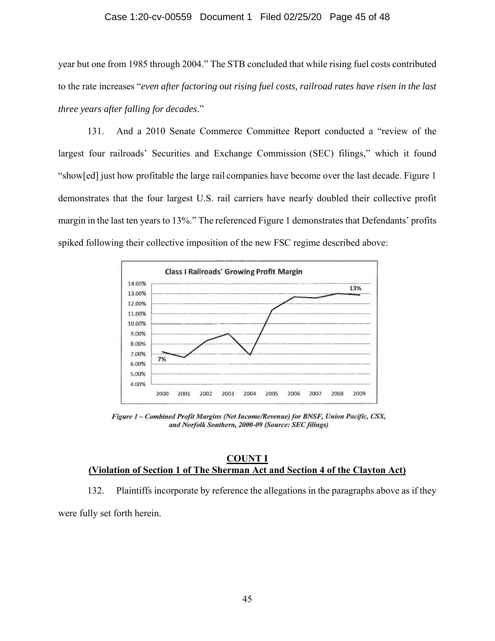## Case 1:20-cv-00559 Document 1 Filed 02/25/20 Page 45 of 48

year but one from 1985 through 2004." The STB concluded that while rising fuel costs contributed to the rate increases "*even after factoring out rising fuel costs, railroad rates have risen in the last three years after falling for decades*."

131. And a 2010 Senate Commerce Committee Report conducted a "review of the largest four railroads' Securities and Exchange Commission (SEC) filings," which it found "show[ed] just how profitable the large rail companies have become over the last decade. Figure 1 demonstrates that the four largest U.S. rail carriers have nearly doubled their collective profit margin in the last ten years to 13%." The referenced Figure 1 demonstrates that Defendants' profits spiked following their collective imposition of the new FSC regime described above:



Figure 1 - Combined Profit Margins (Net Income/Revenue) for BNSF, Union Pacific, CSX, and Norfolk Southern, 2000-09 (Source: SEC filings)

## **COUNT I (Violation of Section 1 of The Sherman Act and Section 4 of the Clayton Act)**

132. Plaintiffs incorporate by reference the allegations in the paragraphs above as if they were fully set forth herein.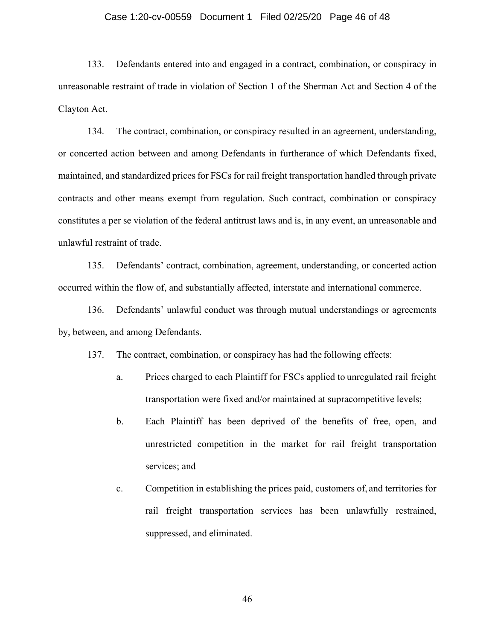## Case 1:20-cv-00559 Document 1 Filed 02/25/20 Page 46 of 48

133. Defendants entered into and engaged in a contract, combination, or conspiracy in unreasonable restraint of trade in violation of Section 1 of the Sherman Act and Section 4 of the Clayton Act.

134. The contract, combination, or conspiracy resulted in an agreement, understanding, or concerted action between and among Defendants in furtherance of which Defendants fixed, maintained, and standardized prices for FSCs for rail freight transportation handled through private contracts and other means exempt from regulation. Such contract, combination or conspiracy constitutes a per se violation of the federal antitrust laws and is, in any event, an unreasonable and unlawful restraint of trade.

135. Defendants' contract, combination, agreement, understanding, or concerted action occurred within the flow of, and substantially affected, interstate and international commerce.

136. Defendants' unlawful conduct was through mutual understandings or agreements by, between, and among Defendants.

137. The contract, combination, or conspiracy has had the following effects:

- a. Prices charged to each Plaintiff for FSCs applied to unregulated rail freight transportation were fixed and/or maintained at supracompetitive levels;
- b. Each Plaintiff has been deprived of the benefits of free, open, and unrestricted competition in the market for rail freight transportation services; and
- c. Competition in establishing the prices paid, customers of, and territories for rail freight transportation services has been unlawfully restrained, suppressed, and eliminated.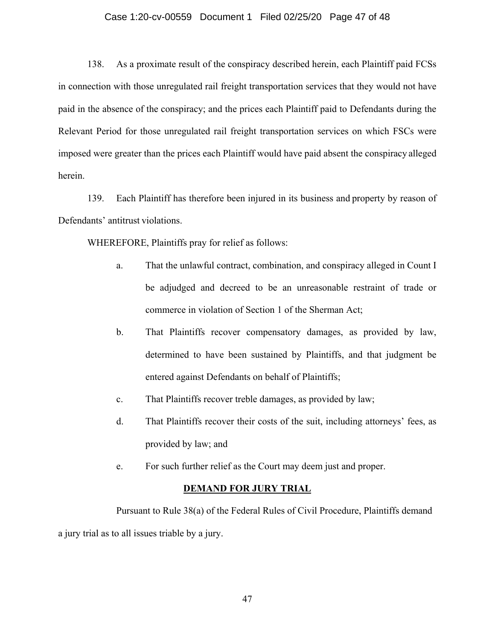## Case 1:20-cv-00559 Document 1 Filed 02/25/20 Page 47 of 48

138. As a proximate result of the conspiracy described herein, each Plaintiff paid FCSs in connection with those unregulated rail freight transportation services that they would not have paid in the absence of the conspiracy; and the prices each Plaintiff paid to Defendants during the Relevant Period for those unregulated rail freight transportation services on which FSCs were imposed were greater than the prices each Plaintiff would have paid absent the conspiracy alleged herein.

139. Each Plaintiff has therefore been injured in its business and property by reason of Defendants' antitrust violations.

WHEREFORE, Plaintiffs pray for relief as follows:

- a. That the unlawful contract, combination, and conspiracy alleged in Count I be adjudged and decreed to be an unreasonable restraint of trade or commerce in violation of Section 1 of the Sherman Act;
- b. That Plaintiffs recover compensatory damages, as provided by law, determined to have been sustained by Plaintiffs, and that judgment be entered against Defendants on behalf of Plaintiffs;
- c. That Plaintiffs recover treble damages, as provided by law;
- d. That Plaintiffs recover their costs of the suit, including attorneys' fees, as provided by law; and
- e. For such further relief as the Court may deem just and proper.

#### **DEMAND FOR JURY TRIAL**

Pursuant to Rule 38(a) of the Federal Rules of Civil Procedure, Plaintiffs demand a jury trial as to all issues triable by a jury.